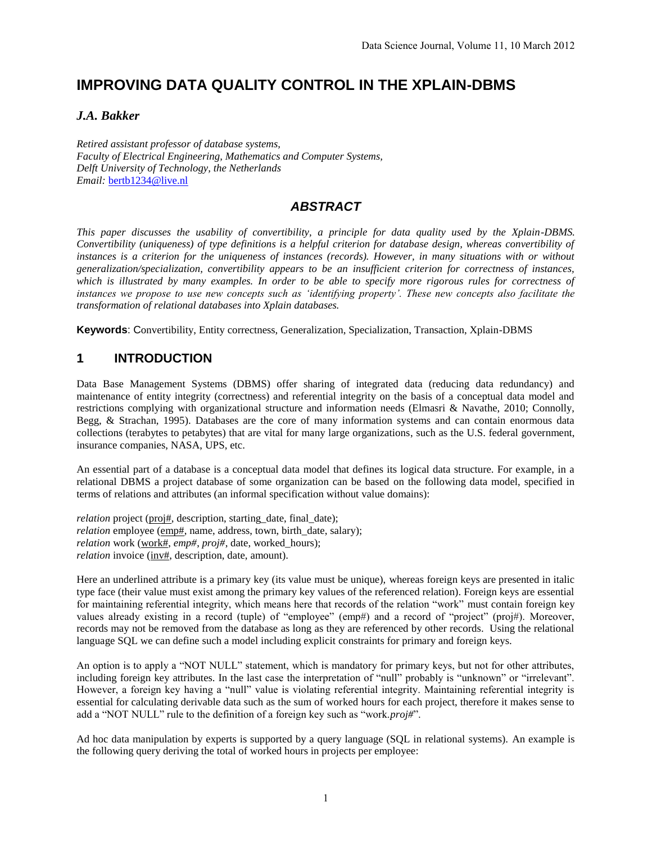# **IMPROVING DATA QUALITY CONTROL IN THE XPLAIN-DBMS**

### *J.A. Bakker*

*Retired assistant professor of database systems, Faculty of Electrical Engineering, Mathematics and Computer Systems, Delft University of Technology, the Netherlands Email:* [bertb1234@live.nl](mailto:bertb.janedv@hotmail.com)

## *ABSTRACT*

*This paper discusses the usability of convertibility, a principle for data quality used by the Xplain-DBMS. Convertibility (uniqueness) of type definitions is a helpful criterion for database design, whereas convertibility of*  instances is a criterion for the uniqueness of instances (records). However, in many situations with or without *generalization/specialization, convertibility appears to be an insufficient criterion for correctness of instances,*  which is illustrated by many examples. In order to be able to specify more rigorous rules for correctness of *instances we propose to use new concepts such as 'identifying property'. These new concepts also facilitate the transformation of relational databases into Xplain databases.* 

**Keywords**: Convertibility, Entity correctness, Generalization, Specialization, Transaction, Xplain-DBMS

### **1 INTRODUCTION**

Data Base Management Systems (DBMS) offer sharing of integrated data (reducing data redundancy) and maintenance of entity integrity (correctness) and referential integrity on the basis of a conceptual data model and restrictions complying with organizational structure and information needs (Elmasri & Navathe, 2010; Connolly, Begg, & Strachan, 1995). Databases are the core of many information systems and can contain enormous data collections (terabytes to petabytes) that are vital for many large organizations, such as the U.S. federal government, insurance companies, NASA, UPS, etc.

An essential part of a database is a conceptual data model that defines its logical data structure. For example, in a relational DBMS a project database of some organization can be based on the following data model, specified in terms of relations and attributes (an informal specification without value domains):

*relation* project (proj#, description, starting\_date, final\_date); *relation* employee (emp#, name, address, town, birth\_date, salary); *relation* work (work#, *emp#*, *proj#*, date, worked\_hours); *relation* invoice (inv#, description, date, amount).

Here an underlined attribute is a primary key (its value must be unique), whereas foreign keys are presented in italic type face (their value must exist among the primary key values of the referenced relation). Foreign keys are essential for maintaining referential integrity, which means here that records of the relation "work" must contain foreign key values already existing in a record (tuple) of "employee" (emp#) and a record of "project" (proj#). Moreover, records may not be removed from the database as long as they are referenced by other records. Using the relational language SQL we can define such a model including explicit constraints for primary and foreign keys.

An option is to apply a "NOT NULL" statement, which is mandatory for primary keys, but not for other attributes, including foreign key attributes. In the last case the interpretation of "null" probably is "unknown" or "irrelevant". However, a foreign key having a "null" value is violating referential integrity. Maintaining referential integrity is essential for calculating derivable data such as the sum of worked hours for each project, therefore it makes sense to add a "NOT NULL" rule to the definition of a foreign key such as "work.*proj#*".

Ad hoc data manipulation by experts is supported by a query language (SQL in relational systems). An example is the following query deriving the total of worked hours in projects per employee: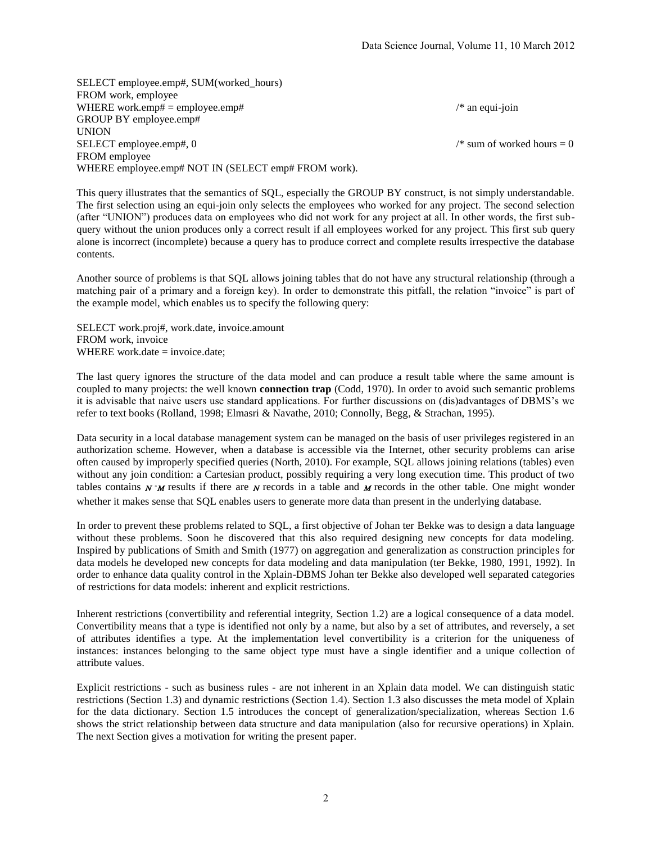SELECT employee.emp#, SUM(worked\_hours) FROM work, employee WHERE work.emp# = employee.emp#  $\frac{1}{2}$  /\* an equi-join GROUP BY employee.emp# UNION SELECT employee.emp#,  $0 \qquad$  /\* sum of worked hours = 0 FROM employee WHERE employee.emp# NOT IN (SELECT emp# FROM work).

This query illustrates that the semantics of SQL, especially the GROUP BY construct, is not simply understandable. The first selection using an equi-join only selects the employees who worked for any project. The second selection (after "UNION") produces data on employees who did not work for any project at all. In other words, the first subquery without the union produces only a correct result if all employees worked for any project. This first sub query alone is incorrect (incomplete) because a query has to produce correct and complete results irrespective the database contents.

Another source of problems is that SQL allows joining tables that do not have any structural relationship (through a matching pair of a primary and a foreign key). In order to demonstrate this pitfall, the relation "invoice" is part of the example model, which enables us to specify the following query:

SELECT work.proj#, work.date, invoice.amount FROM work, invoice WHERE work.date  $=$  invoice.date:

The last query ignores the structure of the data model and can produce a result table where the same amount is coupled to many projects: the well known **connection trap** (Codd, 1970). In order to avoid such semantic problems it is advisable that naive users use standard applications. For further discussions on (dis)advantages of DBMS's we refer to text books (Rolland, 1998; Elmasri & Navathe, 2010; Connolly, Begg, & Strachan, 1995).

Data security in a local database management system can be managed on the basis of user privileges registered in an authorization scheme. However, when a database is accessible via the Internet, other security problems can arise often caused by improperly specified queries (North, 2010). For example, SQL allows joining relations (tables) even without any join condition: a Cartesian product, possibly requiring a very long execution time. This product of two tables contains  $N^*M$  results if there are N records in a table and M records in the other table. One might wonder whether it makes sense that SOL enables users to generate more data than present in the underlying database.

In order to prevent these problems related to SQL, a first objective of Johan ter Bekke was to design a data language without these problems. Soon he discovered that this also required designing new concepts for data modeling. Inspired by publications of Smith and Smith (1977) on aggregation and generalization as construction principles for data models he developed new concepts for data modeling and data manipulation (ter Bekke, 1980, 1991, 1992). In order to enhance data quality control in the Xplain-DBMS Johan ter Bekke also developed well separated categories of restrictions for data models: inherent and explicit restrictions.

Inherent restrictions (convertibility and referential integrity, Section 1.2) are a logical consequence of a data model. Convertibility means that a type is identified not only by a name, but also by a set of attributes, and reversely, a set of attributes identifies a type. At the implementation level convertibility is a criterion for the uniqueness of instances: instances belonging to the same object type must have a single identifier and a unique collection of attribute values.

Explicit restrictions - such as business rules - are not inherent in an Xplain data model. We can distinguish static restrictions (Section 1.3) and dynamic restrictions (Section 1.4). Section 1.3 also discusses the meta model of Xplain for the data dictionary. Section 1.5 introduces the concept of generalization/specialization, whereas Section 1.6 shows the strict relationship between data structure and data manipulation (also for recursive operations) in Xplain. The next Section gives a motivation for writing the present paper.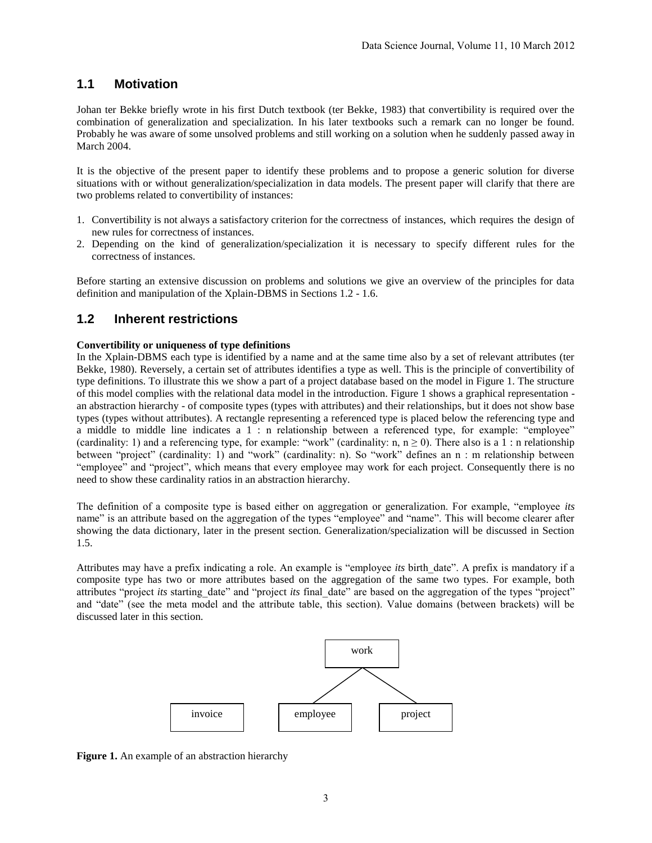## **1.1 Motivation**

Johan ter Bekke briefly wrote in his first Dutch textbook (ter Bekke, 1983) that convertibility is required over the combination of generalization and specialization. In his later textbooks such a remark can no longer be found. Probably he was aware of some unsolved problems and still working on a solution when he suddenly passed away in March 2004.

It is the objective of the present paper to identify these problems and to propose a generic solution for diverse situations with or without generalization/specialization in data models. The present paper will clarify that there are two problems related to convertibility of instances:

- 1. Convertibility is not always a satisfactory criterion for the correctness of instances, which requires the design of new rules for correctness of instances.
- 2. Depending on the kind of generalization/specialization it is necessary to specify different rules for the correctness of instances.

Before starting an extensive discussion on problems and solutions we give an overview of the principles for data definition and manipulation of the Xplain-DBMS in Sections 1.2 - 1.6.

#### **1.2 Inherent restrictions**

#### **Convertibility or uniqueness of type definitions**

In the Xplain-DBMS each type is identified by a name and at the same time also by a set of relevant attributes (ter Bekke, 1980). Reversely, a certain set of attributes identifies a type as well. This is the principle of convertibility of type definitions. To illustrate this we show a part of a project database based on the model in Figure 1. The structure of this model complies with the relational data model in the introduction. Figure 1 shows a graphical representation an abstraction hierarchy - of composite types (types with attributes) and their relationships, but it does not show base types (types without attributes). A rectangle representing a referenced type is placed below the referencing type and a middle to middle line indicates a 1 : n relationship between a referenced type, for example: "employee" (cardinality: 1) and a referencing type, for example: "work" (cardinality: n,  $n \ge 0$ ). There also is a 1 : n relationship between "project" (cardinality: 1) and "work" (cardinality: n). So "work" defines an n : m relationship between "employee" and "project", which means that every employee may work for each project. Consequently there is no need to show these cardinality ratios in an abstraction hierarchy.

The definition of a composite type is based either on aggregation or generalization. For example, "employee *its* name" is an attribute based on the aggregation of the types "employee" and "name". This will become clearer after showing the data dictionary, later in the present section. Generalization/specialization will be discussed in Section 1.5.

Attributes may have a prefix indicating a role. An example is "employee *its* birth\_date". A prefix is mandatory if a composite type has two or more attributes based on the aggregation of the same two types. For example, both attributes "project *its* starting date" and "project *its* final date" are based on the aggregation of the types "project" and "date" (see the meta model and the attribute table, this section). Value domains (between brackets) will be discussed later in this section.



Figure 1. An example of an abstraction hierarchy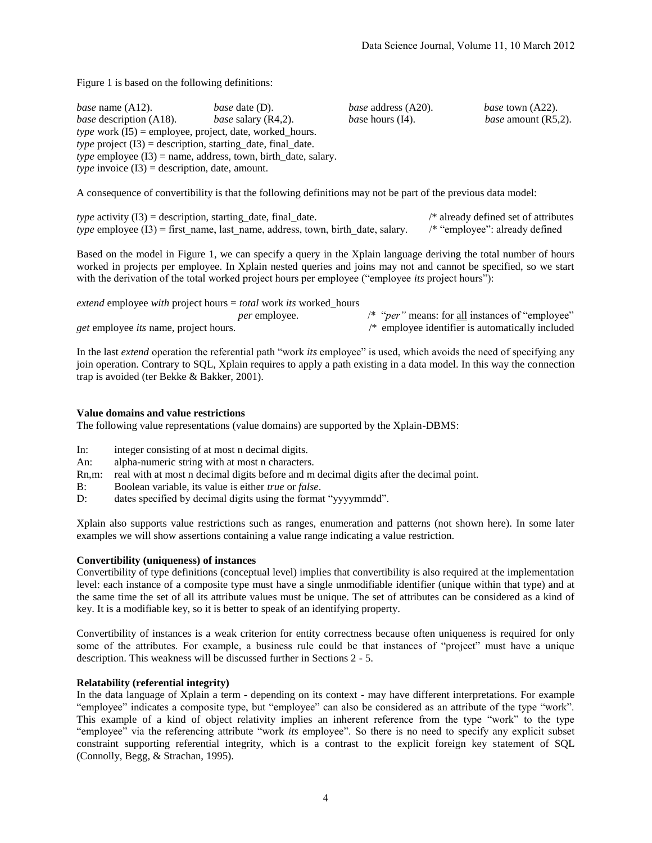Figure 1 is based on the following definitions:

| <i>base</i> name (A12).                                              | <i>base</i> date (D).                                                  | <i>base</i> address (A20). | <i>base</i> town (A22).    |
|----------------------------------------------------------------------|------------------------------------------------------------------------|----------------------------|----------------------------|
| <i>base</i> description (A18).                                       | <i>base</i> salary $(R4,2)$ .                                          | <i>base</i> hours (I4).    | <i>base</i> amount (R5,2). |
| <i>type</i> work $(I5)$ = employee, project, date, worked_hours.     |                                                                        |                            |                            |
| <i>type</i> project $(13)$ = description, starting date, final date. |                                                                        |                            |                            |
|                                                                      | <i>type</i> employee $(13)$ = name, address, town, birth_date, salary. |                            |                            |
| <i>type</i> invoice $(13)$ = description, date, amount.              |                                                                        |                            |                            |

A consequence of convertibility is that the following definitions may not be part of the previous data model:

| <i>type</i> activity $(13)$ = description, starting_date, final_date.                   | $\frac{1}{2}$ already defined set of attributes |
|-----------------------------------------------------------------------------------------|-------------------------------------------------|
| <i>type</i> employee $(13)$ = first_name, last_name, address, town, birth_date, salary. | /* "employee": already defined                  |

Based on the model in Figure 1, we can specify a query in the Xplain language deriving the total number of hours worked in projects per employee. In Xplain nested queries and joins may not and cannot be specified, so we start with the derivation of the total worked project hours per employee ("employee *its* project hours"):

| <i>extend</i> employee <i>with</i> project hours = <i>total</i> work <i>its</i> worked hours |                      |                                                                 |
|----------------------------------------------------------------------------------------------|----------------------|-----------------------------------------------------------------|
|                                                                                              | <i>per</i> employee. | /* " <i>per</i> " means: for <u>all</u> instances of "employee" |
| <i>get</i> employee <i>its</i> name, project hours.                                          |                      | $\frac{1}{2}$ employee identifier is automatically included     |

In the last *extend* operation the referential path "work *its* employee" is used, which avoids the need of specifying any join operation. Contrary to SQL, Xplain requires to apply a path existing in a data model. In this way the connection trap is avoided (ter Bekke & Bakker, 2001).

#### **Value domains and value restrictions**

The following value representations (value domains) are supported by the Xplain-DBMS:

- In: integer consisting of at most n decimal digits.
- An: alpha-numeric string with at most n characters.
- Rn,m: real with at most n decimal digits before and m decimal digits after the decimal point.
- B: Boolean variable, its value is either *true* or *false*.
- D: dates specified by decimal digits using the format "yyyymmdd".

Xplain also supports value restrictions such as ranges, enumeration and patterns (not shown here). In some later examples we will show assertions containing a value range indicating a value restriction.

#### **Convertibility (uniqueness) of instances**

Convertibility of type definitions (conceptual level) implies that convertibility is also required at the implementation level: each instance of a composite type must have a single unmodifiable identifier (unique within that type) and at the same time the set of all its attribute values must be unique. The set of attributes can be considered as a kind of key. It is a modifiable key, so it is better to speak of an identifying property.

Convertibility of instances is a weak criterion for entity correctness because often uniqueness is required for only some of the attributes. For example, a business rule could be that instances of "project" must have a unique description. This weakness will be discussed further in Sections 2 - 5.

#### **Relatability (referential integrity)**

In the data language of Xplain a term - depending on its context - may have different interpretations. For example "employee" indicates a composite type, but "employee" can also be considered as an attribute of the type "work". This example of a kind of object relativity implies an inherent reference from the type "work" to the type "employee" via the referencing attribute "work *its* employee". So there is no need to specify any explicit subset constraint supporting referential integrity, which is a contrast to the explicit foreign key statement of SQL (Connolly, Begg, & Strachan, 1995).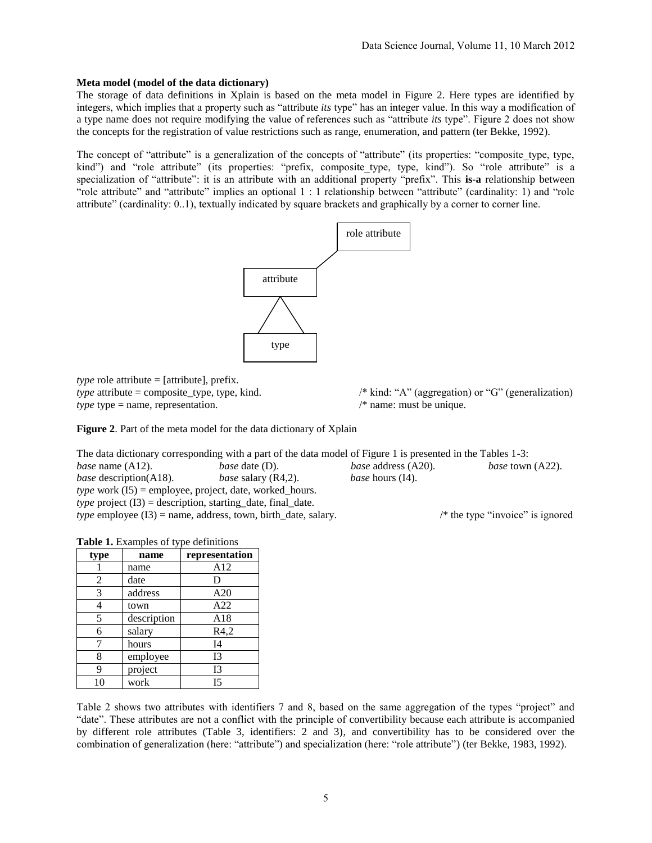#### **Meta model (model of the data dictionary)**

The storage of data definitions in Xplain is based on the meta model in Figure 2. Here types are identified by integers, which implies that a property such as "attribute *its* type" has an integer value. In this way a modification of a type name does not require modifying the value of references such as "attribute *its* type". Figure 2 does not show the concepts for the registration of value restrictions such as range, enumeration, and pattern (ter Bekke, 1992).

The concept of "attribute" is a generalization of the concepts of "attribute" (its properties: "composite type, type, kind") and "role attribute" (its properties: "prefix, composite type, type, kind"). So "role attribute" is a specialization of "attribute": it is an attribute with an additional property "prefix". This **is-a** relationship between "role attribute" and "attribute" implies an optional 1 : 1 relationship between "attribute" (cardinality: 1) and "role attribute" (cardinality: 0..1), textually indicated by square brackets and graphically by a corner to corner line.



*type* role attribute = [attribute], prefix. *type* type = name, representation.  $\frac{1}{2}$  /\* name: must be unique.

**Figure 2**. Part of the meta model for the data dictionary of Xplain

The data dictionary corresponding with a part of the data model of Figure 1 is presented in the Tables 1-3: *base* name (A12). *base* date (D). *base* address (A20). *base* town (A22). *base* description(A18). *base* salary (R4,2). *base* hours (I4). *type* work (I5) = employee, project, date, worked\_hours. *type* project  $(I3)$  = description, starting date, final date. *type* employee (I3) = name, address, town, birth date, salary. /\* the type "invoice" is ignored

|  |  |  | Table 1. Examples of type definitions |
|--|--|--|---------------------------------------|
|--|--|--|---------------------------------------|

| type           | name        | representation |
|----------------|-------------|----------------|
|                | name        | A12            |
| $\overline{2}$ | date        | D              |
| 3              | address     | A20            |
|                | town        | A22            |
| 5              | description | A18            |
| 6              | salary      | R4,2           |
|                | hours       | I4             |
| 8              | employee    | I <sub>3</sub> |
| 9              | project     | I <sub>3</sub> |
| 10             | work        | I5             |

Table 2 shows two attributes with identifiers 7 and 8, based on the same aggregation of the types "project" and "date". These attributes are not a conflict with the principle of convertibility because each attribute is accompanied by different role attributes (Table 3, identifiers: 2 and 3), and convertibility has to be considered over the combination of generalization (here: "attribute") and specialization (here: "role attribute") (ter Bekke, 1983, 1992).

*type* attribute = composite\_type, type, kind. /\* kind: "A" (aggregation) or "G" (generalization)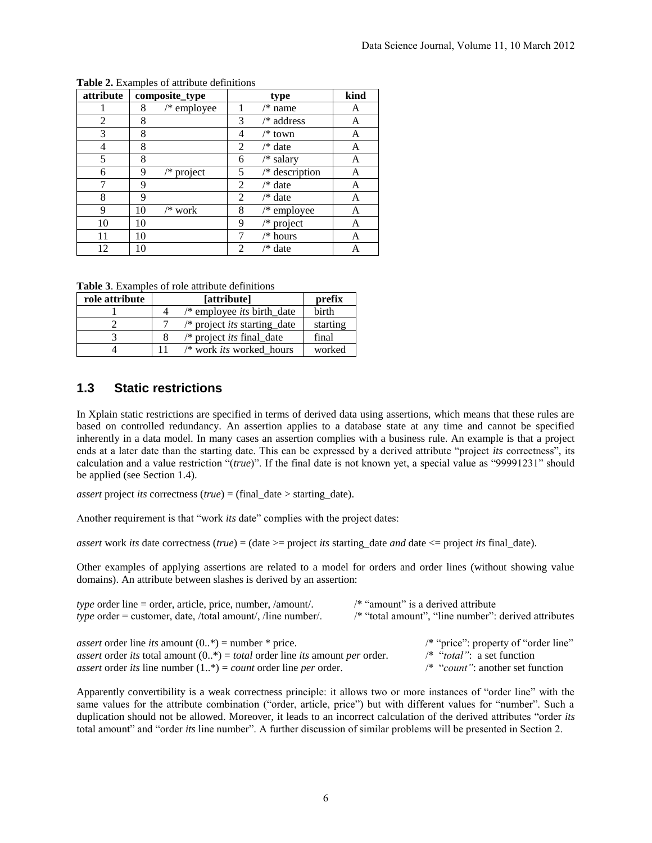| attribute |    | composite_type | type           |                  | kind |
|-----------|----|----------------|----------------|------------------|------|
|           | 8  | $/*$ employee  |                | $/*$ name        | A    |
| 2         | 8  |                | 3              | /* address       | A    |
| 3         | 8  |                | 4              | $/*$ town        | A    |
| 4         | 8  |                | 2              | $/*$ date        | A    |
| 5         | 8  |                | 6              | /* salary        | A    |
| 6         | 9  | $/*$ project   | 5              | $/*$ description | Α    |
|           | 9  |                | 2              | /* date          | А    |
| 8         | 9  |                | 2              | /* date          | Α    |
| 9         | 10 | /* work        | 8              | $/*$ employee    | Α    |
| 10        | 10 |                | 9              | $/*$ project     | A    |
| 11        | 10 |                |                | /* hours         | Α    |
| 12        | 10 |                | $\mathfrak{D}$ | /* date          |      |

**Table 2.** Examples of attribute definitions

**Table 3**. Examples of role attribute definitions

| role attribute | [attribute]                           | prefix   |
|----------------|---------------------------------------|----------|
|                | $/*$ employee <i>its</i> birth_date   | birth    |
|                | $/*$ project <i>its</i> starting date | starting |
|                | $/*$ project <i>its</i> final date    | final    |
|                | /* work <i>its</i> worked hours       | worked   |

# **1.3 Static restrictions**

In Xplain static restrictions are specified in terms of derived data using assertions, which means that these rules are based on controlled redundancy. An assertion applies to a database state at any time and cannot be specified inherently in a data model. In many cases an assertion complies with a business rule. An example is that a project ends at a later date than the starting date. This can be expressed by a derived attribute "project *its* correctness", its calculation and a value restriction "(*true*)". If the final date is not known yet, a special value as "99991231" should be applied (see Section 1.4).

*assert* project *its* correctness (*true*) = (final date > starting date).

Another requirement is that "work *its* date" complies with the project dates:

*assert* work *its* date correctness (*true*) = (date  $>=$  project *its* starting date *and* date  $\leq$  project *its* final date).

Other examples of applying assertions are related to a model for orders and order lines (without showing value domains). An attribute between slashes is derived by an assertion:

| <i>type</i> order line = order, article, price, number, /amount/.<br><i>type</i> order = customer, date, /total amount/, /line number/. | $/*$ "amount" is a derived attribute<br>/* "total amount", "line number": derived attributes |
|-----------------------------------------------------------------------------------------------------------------------------------------|----------------------------------------------------------------------------------------------|
| <i>assert</i> order line <i>its</i> amount $(0,*)$ = number * price.                                                                    | /* "price": property of "order line"                                                         |
| <i>assert</i> order <i>its</i> total amount $(0.*)$ = <i>total</i> order line <i>its</i> amount <i>per</i> order.                       | /* "total": a set function                                                                   |
| <i>assert</i> order <i>its</i> line number $(1, *)=$ <i>count</i> order line <i>per</i> order.                                          | $\frac{1}{2}$ "count": another set function                                                  |

Apparently convertibility is a weak correctness principle: it allows two or more instances of "order line" with the same values for the attribute combination ("order, article, price") but with different values for "number". Such a duplication should not be allowed. Moreover, it leads to an incorrect calculation of the derived attributes "order *its* total amount" and "order *its* line number". A further discussion of similar problems will be presented in Section 2.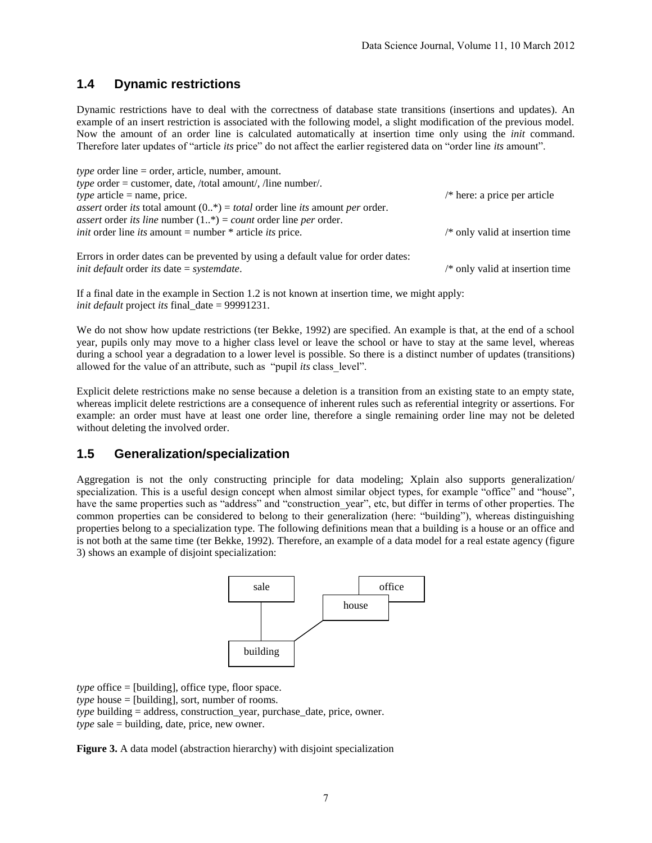## **1.4 Dynamic restrictions**

Dynamic restrictions have to deal with the correctness of database state transitions (insertions and updates). An example of an insert restriction is associated with the following model, a slight modification of the previous model. Now the amount of an order line is calculated automatically at insertion time only using the *init* command. Therefore later updates of "article *its* price" do not affect the earlier registered data on "order line *its* amount".

| <i>type</i> order line = order, article, number, amount.                                                          |                                         |
|-------------------------------------------------------------------------------------------------------------------|-----------------------------------------|
| <i>type</i> order = customer, date, /total amount/, /line number/.                                                |                                         |
| <i>type</i> article = name, price.                                                                                | $\frac{1}{2}$ here: a price per article |
| <i>assert</i> order <i>its</i> total amount $(0,*)$ = <i>total</i> order line <i>its</i> amount <i>per</i> order. |                                         |
| <i>assert</i> order <i>its line</i> number $(1, *)=$ <i>count</i> order line <i>per</i> order.                    |                                         |
| <i>init</i> order line <i>its</i> amount = number * article <i>its</i> price.                                     | $/*$ only valid at insertion time       |
|                                                                                                                   |                                         |

Errors in order dates can be prevented by using a default value for order dates: *init default* order *its* date = *systemdate*. /\* only valid at insertion time

If a final date in the example in Section 1.2 is not known at insertion time, we might apply: *init default* project *its* final date = 99991231.

We do not show how update restrictions (ter Bekke, 1992) are specified. An example is that, at the end of a school year, pupils only may move to a higher class level or leave the school or have to stay at the same level, whereas during a school year a degradation to a lower level is possible. So there is a distinct number of updates (transitions) allowed for the value of an attribute, such as "pupil *its* class\_level".

Explicit delete restrictions make no sense because a deletion is a transition from an existing state to an empty state, whereas implicit delete restrictions are a consequence of inherent rules such as referential integrity or assertions. For example: an order must have at least one order line, therefore a single remaining order line may not be deleted without deleting the involved order.

### **1.5 Generalization/specialization**

Aggregation is not the only constructing principle for data modeling; Xplain also supports generalization/ specialization. This is a useful design concept when almost similar object types, for example "office" and "house", have the same properties such as "address" and "construction year", etc, but differ in terms of other properties. The common properties can be considered to belong to their generalization (here: "building"), whereas distinguishing properties belong to a specialization type. The following definitions mean that a building is a house or an office and is not both at the same time (ter Bekke, 1992). Therefore, an example of a data model for a real estate agency (figure 3) shows an example of disjoint specialization:



*type* office = [building], office type, floor space. *type* house = [building], sort, number of rooms. *type* building = address, construction\_year, purchase\_date, price, owner. *type* sale = building, date, price, new owner.

**Figure 3.** A data model (abstraction hierarchy) with disjoint specialization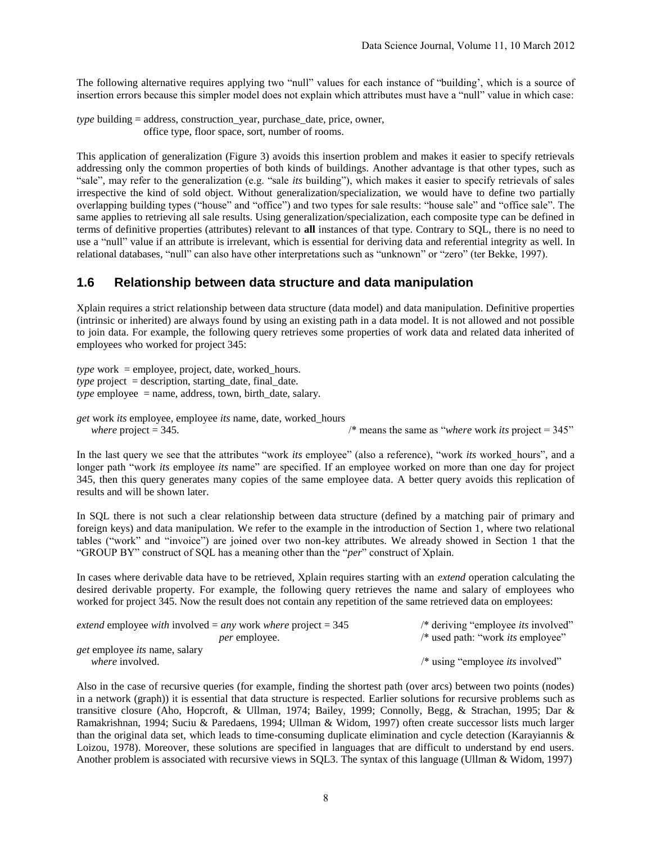The following alternative requires applying two "null" values for each instance of "building', which is a source of insertion errors because this simpler model does not explain which attributes must have a "null" value in which case:

```
type building = address, construction year, purchase date, price, owner,
                 office type, floor space, sort, number of rooms.
```
This application of generalization (Figure 3) avoids this insertion problem and makes it easier to specify retrievals addressing only the common properties of both kinds of buildings. Another advantage is that other types, such as "sale", may refer to the generalization (e.g. "sale *its* building"), which makes it easier to specify retrievals of sales irrespective the kind of sold object. Without generalization/specialization, we would have to define two partially overlapping building types ("house" and "office") and two types for sale results: "house sale" and "office sale". The same applies to retrieving all sale results. Using generalization/specialization, each composite type can be defined in terms of definitive properties (attributes) relevant to **all** instances of that type. Contrary to SQL, there is no need to use a "null" value if an attribute is irrelevant, which is essential for deriving data and referential integrity as well. In relational databases, "null" can also have other interpretations such as "unknown" or "zero" (ter Bekke, 1997).

#### **1.6 Relationship between data structure and data manipulation**

Xplain requires a strict relationship between data structure (data model) and data manipulation. Definitive properties (intrinsic or inherited) are always found by using an existing path in a data model. It is not allowed and not possible to join data. For example, the following query retrieves some properties of work data and related data inherited of employees who worked for project 345:

*type* work = employee, project, date, worked\_hours. *type* project = description, starting\_date, final\_date.  *employee*  $=$  *name, address, town, birth date, salary.* 

*get* work *its* employee, employee *its* name, date, worked\_hours *where* project  $= 345$ .  $\frac{1}{2}$  */\** means the same as *"where* work *its* project  $= 345$ "

In the last query we see that the attributes "work *its* employee" (also a reference), "work *its* worked hours", and a longer path "work *its* employee *its* name" are specified. If an employee worked on more than one day for project 345, then this query generates many copies of the same employee data. A better query avoids this replication of results and will be shown later.

In SQL there is not such a clear relationship between data structure (defined by a matching pair of primary and foreign keys) and data manipulation. We refer to the example in the introduction of Section 1, where two relational tables ("work" and "invoice") are joined over two non-key attributes. We already showed in Section 1 that the "GROUP BY" construct of SQL has a meaning other than the "*per*" construct of Xplain.

In cases where derivable data have to be retrieved, Xplain requires starting with an *extend* operation calculating the desired derivable property. For example, the following query retrieves the name and salary of employees who worked for project 345. Now the result does not contain any repetition of the same retrieved data on employees:

| <i>extend</i> employee <i>with</i> involved = <i>any</i> work <i>where</i> project = $345$ | /* deriving "employee <i>its</i> involved"         |
|--------------------------------------------------------------------------------------------|----------------------------------------------------|
| <i>per</i> employee.                                                                       | /* used path: "work <i>its</i> employee"           |
| <i>get</i> employee <i>its</i> name, salary                                                |                                                    |
| <i>where</i> involved.                                                                     | $\frac{1}{2}$ using "employee <i>its</i> involved" |

Also in the case of recursive queries (for example, finding the shortest path (over arcs) between two points (nodes) in a network (graph)) it is essential that data structure is respected. Earlier solutions for recursive problems such as transitive closure (Aho, Hopcroft, & Ullman, 1974; Bailey, 1999; Connolly, Begg, & Strachan, 1995; Dar & Ramakrishnan, 1994; Suciu & Paredaens, 1994; Ullman & Widom, 1997) often create successor lists much larger than the original data set, which leads to time-consuming duplicate elimination and cycle detection (Karayiannis & Loizou, 1978). Moreover, these solutions are specified in languages that are difficult to understand by end users. Another problem is associated with recursive views in SQL3. The syntax of this language (Ullman & Widom, 1997)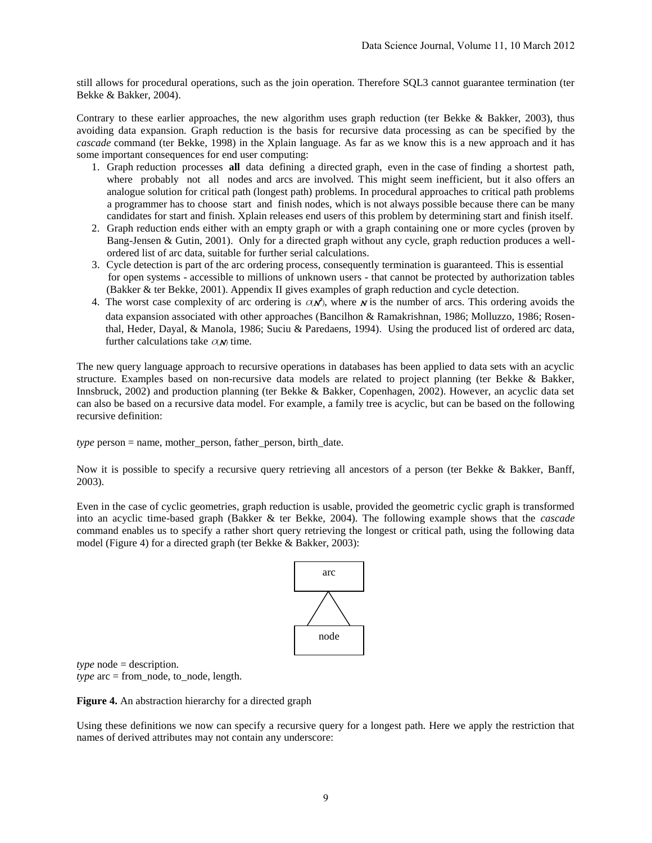still allows for procedural operations, such as the join operation. Therefore SQL3 cannot guarantee termination (ter Bekke & Bakker, 2004).

Contrary to these earlier approaches, the new algorithm uses graph reduction (ter Bekke & Bakker, 2003), thus avoiding data expansion. Graph reduction is the basis for recursive data processing as can be specified by the *cascade* command (ter Bekke, 1998) in the Xplain language. As far as we know this is a new approach and it has some important consequences for end user computing:

- 1. Graph reduction processes **all** data defining a directed graph, even in the case of finding a shortest path, where probably not all nodes and arcs are involved. This might seem inefficient, but it also offers an analogue solution for critical path (longest path) problems. In procedural approaches to critical path problems a programmer has to choose start and finish nodes, which is not always possible because there can be many candidates for start and finish. Xplain releases end users of this problem by determining start and finish itself.
- 2. Graph reduction ends either with an empty graph or with a graph containing one or more cycles (proven by Bang-Jensen & Gutin, 2001). Only for a directed graph without any cycle, graph reduction produces a wellordered list of arc data, suitable for further serial calculations.
- 3. Cycle detection is part of the arc ordering process, consequently termination is guaranteed. This is essential for open systems - accessible to millions of unknown users - that cannot be protected by authorization tables (Bakker & ter Bekke, 2001). Appendix II gives examples of graph reduction and cycle detection.
- 4. The worst case complexity of arc ordering is  $\alpha \vec{N}$ , where  $\vec{N}$  is the number of arcs. This ordering avoids the data expansion associated with other approaches (Bancilhon & Ramakrishnan, 1986; Molluzzo, 1986; Rosenthal, Heder, Dayal, & Manola, 1986; Suciu & Paredaens, 1994). Using the produced list of ordered arc data, further calculations take  $\alpha$ *M* time.

The new query language approach to recursive operations in databases has been applied to data sets with an acyclic structure. Examples based on non-recursive data models are related to project planning (ter Bekke & Bakker, Innsbruck, 2002) and production planning (ter Bekke & Bakker, Copenhagen, 2002). However, an acyclic data set can also be based on a recursive data model. For example, a family tree is acyclic, but can be based on the following recursive definition:

*type* person = name, mother person, father person, birth date.

Now it is possible to specify a recursive query retrieving all ancestors of a person (ter Bekke & Bakker, Banff, 2003).

Even in the case of cyclic geometries, graph reduction is usable, provided the geometric cyclic graph is transformed into an acyclic time-based graph (Bakker & ter Bekke, 2004). The following example shows that the *cascade* command enables us to specify a rather short query retrieving the longest or critical path, using the following data model (Figure 4) for a directed graph (ter Bekke & Bakker, 2003):



*type* node = description. *type*  $\text{arc} = \text{from} \text{node}$ , to node, length.

**Figure 4.** An abstraction hierarchy for a directed graph

Using these definitions we now can specify a recursive query for a longest path. Here we apply the restriction that names of derived attributes may not contain any underscore: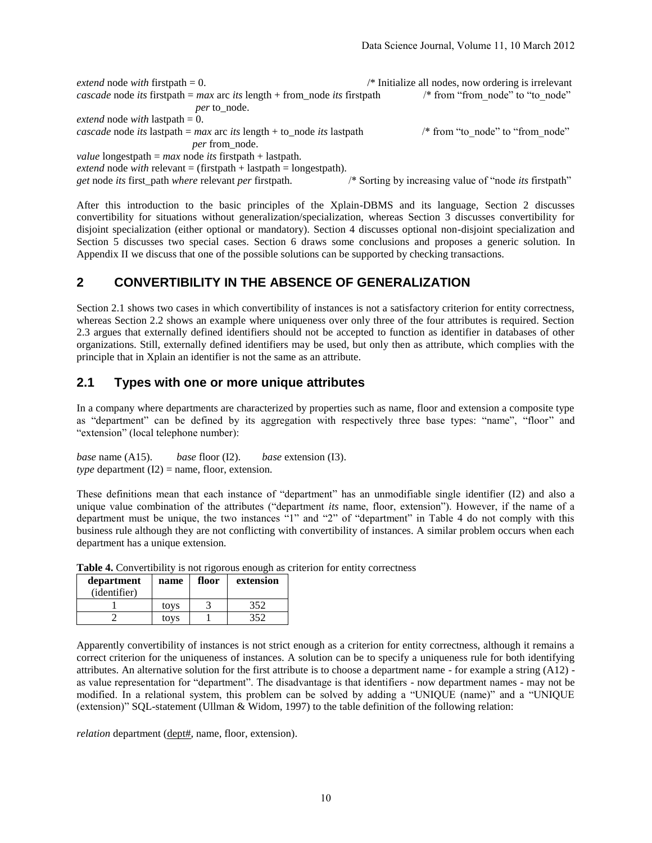*extend* node *with* firstpath = 0. /\* Initialize all nodes, now ordering is irrelevant *cascade* node *its* firstpath = *max* arc *its* length + from node *its* firstpath /\* from "from node" to "to node" *per* to\_node. *extend* node *with* lastpath = 0. *cascade* node *its* lastpath =  $max$  arc *its* length + to node *its* lastpath /\* from "to node" to "from node" *per* from\_node. *value* longestpath = *max* node *its* firstpath + lastpath.  $extend$  node *with* relevant = (firstpath + lastpath = longestpath). *get* node *its* first\_path *where* relevant *per* firstpath. /\* Sorting by increasing value of "node *its* firstpath"

After this introduction to the basic principles of the Xplain-DBMS and its language, Section 2 discusses convertibility for situations without generalization/specialization, whereas Section 3 discusses convertibility for disjoint specialization (either optional or mandatory). Section 4 discusses optional non-disjoint specialization and Section 5 discusses two special cases. Section 6 draws some conclusions and proposes a generic solution. In Appendix II we discuss that one of the possible solutions can be supported by checking transactions.

# **2 CONVERTIBILITY IN THE ABSENCE OF GENERALIZATION**

Section 2.1 shows two cases in which convertibility of instances is not a satisfactory criterion for entity correctness, whereas Section 2.2 shows an example where uniqueness over only three of the four attributes is required. Section 2.3 argues that externally defined identifiers should not be accepted to function as identifier in databases of other organizations. Still, externally defined identifiers may be used, but only then as attribute, which complies with the principle that in Xplain an identifier is not the same as an attribute.

### **2.1 Types with one or more unique attributes**

In a company where departments are characterized by properties such as name, floor and extension a composite type as "department" can be defined by its aggregation with respectively three base types: "name", "floor" and "extension" (local telephone number):

*base* name (A15). *base* floor (I2). *base* extension (I3).  $$ 

These definitions mean that each instance of "department" has an unmodifiable single identifier (I2) and also a unique value combination of the attributes ("department *its* name, floor, extension"). However, if the name of a department must be unique, the two instances "1" and "2" of "department" in Table 4 do not comply with this business rule although they are not conflicting with convertibility of instances. A similar problem occurs when each department has a unique extension.

| department<br>(identifier) | name | floor | extension |
|----------------------------|------|-------|-----------|
|                            | tovs |       | 352       |
|                            | tovs |       | 350       |

**Table 4.** Convertibility is not rigorous enough as criterion for entity correctness

Apparently convertibility of instances is not strict enough as a criterion for entity correctness, although it remains a correct criterion for the uniqueness of instances. A solution can be to specify a uniqueness rule for both identifying attributes. An alternative solution for the first attribute is to choose a department name - for example a string (A12) as value representation for "department". The disadvantage is that identifiers - now department names - may not be modified. In a relational system, this problem can be solved by adding a "UNIQUE (name)" and a "UNIQUE (extension)" SQL-statement (Ullman & Widom, 1997) to the table definition of the following relation:

*relation* department (dept#, name, floor, extension).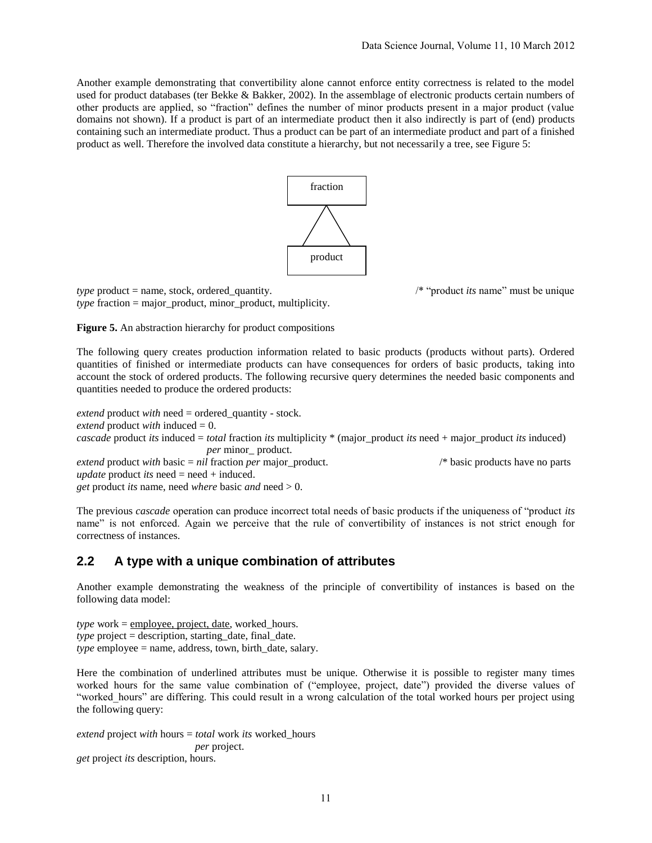Another example demonstrating that convertibility alone cannot enforce entity correctness is related to the model used for product databases (ter Bekke & Bakker, 2002). In the assemblage of electronic products certain numbers of other products are applied, so "fraction" defines the number of minor products present in a major product (value domains not shown). If a product is part of an intermediate product then it also indirectly is part of (end) products containing such an intermediate product. Thus a product can be part of an intermediate product and part of a finished product as well. Therefore the involved data constitute a hierarchy, but not necessarily a tree, see Figure 5:



*type* product = name, stock, ordered\_quantity. /\* "product *its* name" must be unique *type* fraction = major product, minor product, multiplicity.

**Figure 5.** An abstraction hierarchy for product compositions

The following query creates production information related to basic products (products without parts). Ordered quantities of finished or intermediate products can have consequences for orders of basic products, taking into account the stock of ordered products. The following recursive query determines the needed basic components and quantities needed to produce the ordered products:

*extend* product *with* need = ordered\_quantity - stock. *extend* product *with* induced = 0. *cascade* product *its* induced = *total* fraction *its* multiplicity \* (major\_product *its* need + major\_product *its* induced) *per* minor\_ product. *extend* product *with* basic = *nil* fraction *per* major\_product. /\* basic products have no parts *update* product *its* need = need + induced. *get* product *its* name, need *where* basic *and* need > 0.

The previous *cascade* operation can produce incorrect total needs of basic products if the uniqueness of "product *its* name" is not enforced. Again we perceive that the rule of convertibility of instances is not strict enough for correctness of instances.

### **2.2 A type with a unique combination of attributes**

Another example demonstrating the weakness of the principle of convertibility of instances is based on the following data model:

*type* work = employee, project, date, worked\_hours. *type* project = description, starting\_date, final\_date. *type* employee = name, address, town, birth\_date, salary.

Here the combination of underlined attributes must be unique. Otherwise it is possible to register many times worked hours for the same value combination of ("employee, project, date") provided the diverse values of "worked\_hours" are differing. This could result in a wrong calculation of the total worked hours per project using the following query:

*extend* project *with* hours = *total* work *its* worked\_hours  *per* project. *get* project *its* description, hours.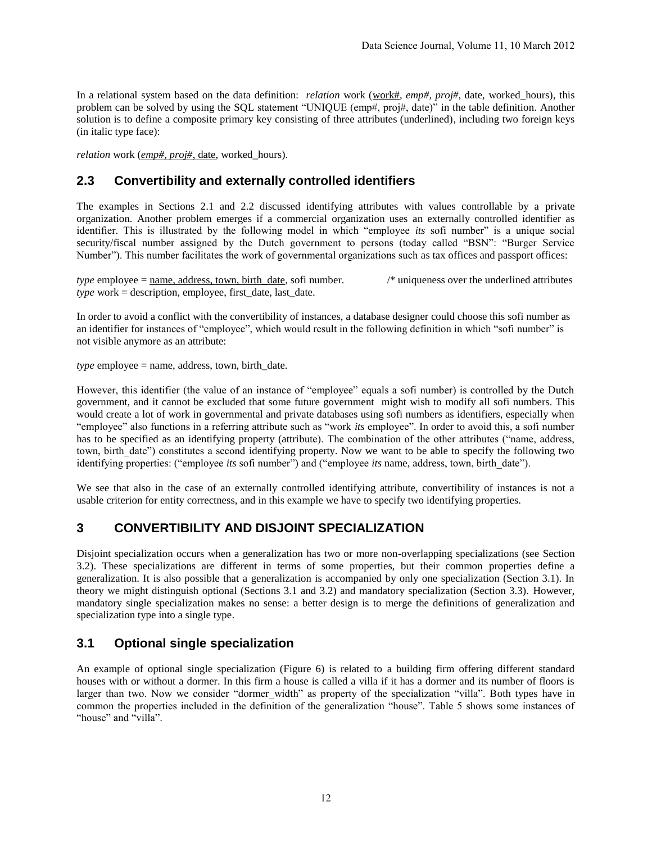In a relational system based on the data definition: *relation* work (work#, *emp#*, *proj#*, date, worked hours), this problem can be solved by using the SQL statement "UNIQUE (emp#, proj#, date)" in the table definition. Another solution is to define a composite primary key consisting of three attributes (underlined), including two foreign keys (in italic type face):

*relation* work (*emp#*, *proj#*, date, worked\_hours).

# **2.3 Convertibility and externally controlled identifiers**

The examples in Sections 2.1 and 2.2 discussed identifying attributes with values controllable by a private organization. Another problem emerges if a commercial organization uses an externally controlled identifier as identifier. This is illustrated by the following model in which "employee *its* sofi number" is a unique social security/fiscal number assigned by the Dutch government to persons (today called "BSN": "Burger Service Number"). This number facilitates the work of governmental organizations such as tax offices and passport offices:

*type* employee =  $\frac{\text{name}}{\text{name}}$ , address, town, birth date, sofi number. /\* uniqueness over the underlined attributes *type* work = description, employee, first\_date, last\_date.

In order to avoid a conflict with the convertibility of instances, a database designer could choose this sofi number as an identifier for instances of "employee", which would result in the following definition in which "sofi number" is not visible anymore as an attribute:

 $$ 

However, this identifier (the value of an instance of "employee" equals a sofi number) is controlled by the Dutch government, and it cannot be excluded that some future government might wish to modify all sofi numbers. This would create a lot of work in governmental and private databases using sofi numbers as identifiers, especially when "employee" also functions in a referring attribute such as "work *its* employee". In order to avoid this, a sofi number has to be specified as an identifying property (attribute). The combination of the other attributes ("name, address, town, birth\_date") constitutes a second identifying property. Now we want to be able to specify the following two identifying properties: ("employee *its* sofi number") and ("employee *its* name, address, town, birth\_date").

We see that also in the case of an externally controlled identifying attribute, convertibility of instances is not a usable criterion for entity correctness, and in this example we have to specify two identifying properties.

# **3 CONVERTIBILITY AND DISJOINT SPECIALIZATION**

Disjoint specialization occurs when a generalization has two or more non-overlapping specializations (see Section 3.2). These specializations are different in terms of some properties, but their common properties define a generalization. It is also possible that a generalization is accompanied by only one specialization (Section 3.1). In theory we might distinguish optional (Sections 3.1 and 3.2) and mandatory specialization (Section 3.3). However, mandatory single specialization makes no sense: a better design is to merge the definitions of generalization and specialization type into a single type.

# **3.1 Optional single specialization**

An example of optional single specialization (Figure 6) is related to a building firm offering different standard houses with or without a dormer. In this firm a house is called a villa if it has a dormer and its number of floors is larger than two. Now we consider "dormer width" as property of the specialization "villa". Both types have in common the properties included in the definition of the generalization "house". Table 5 shows some instances of "house" and "villa".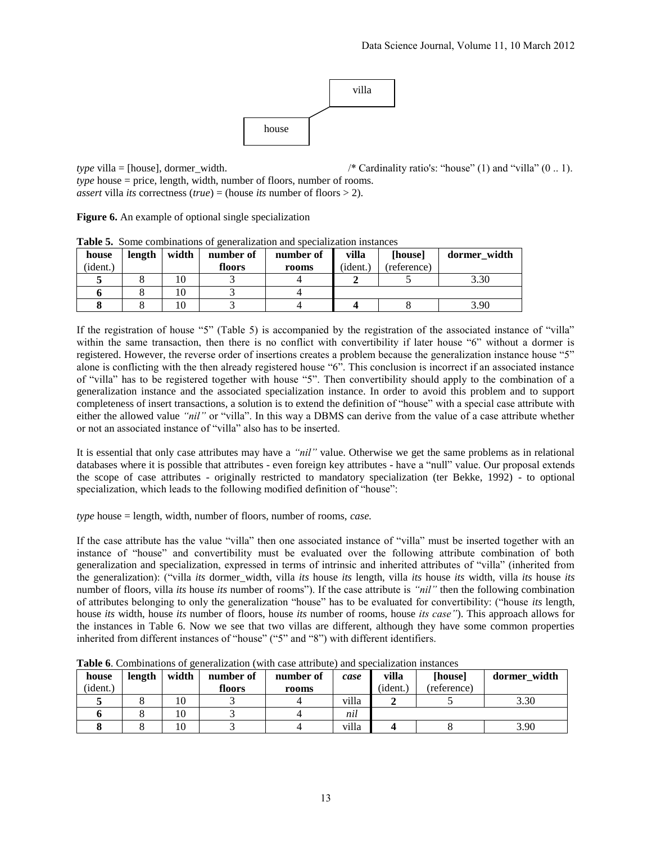

*type* villa = [house], dormer width. /\* Cardinality ratio's: "house" (1) and "villa" (0 .. 1).

*type* house = price, length, width, number of floors, number of rooms. *assert* villa *its* correctness (*true*) = (house *its* number of floors  $> 2$ ).

**Figure 6.** An example of optional single specialization

| house    | length | width | number of | number of | villa    | [house]     | dormer_width |
|----------|--------|-------|-----------|-----------|----------|-------------|--------------|
| (ident.) |        |       | floors    | rooms     | (ident.) | (reference) |              |
|          |        |       |           |           |          |             | 3.30         |
|          |        |       |           |           |          |             |              |
|          |        |       |           |           |          |             | 3.90         |

**Table 5.** Some combinations of generalization and specialization instances

If the registration of house "5" (Table 5) is accompanied by the registration of the associated instance of "villa" within the same transaction, then there is no conflict with convertibility if later house "6" without a dormer is registered. However, the reverse order of insertions creates a problem because the generalization instance house "5" alone is conflicting with the then already registered house "6". This conclusion is incorrect if an associated instance of "villa" has to be registered together with house "5". Then convertibility should apply to the combination of a generalization instance and the associated specialization instance. In order to avoid this problem and to support completeness of insert transactions, a solution is to extend the definition of "house" with a special case attribute with either the allowed value *"nil"* or "villa". In this way a DBMS can derive from the value of a case attribute whether or not an associated instance of "villa" also has to be inserted.

It is essential that only case attributes may have a *"nil"* value. Otherwise we get the same problems as in relational databases where it is possible that attributes - even foreign key attributes - have a "null" value. Our proposal extends the scope of case attributes - originally restricted to mandatory specialization (ter Bekke, 1992) - to optional specialization, which leads to the following modified definition of "house":

*type* house = length, width, number of floors, number of rooms, *case.*

If the case attribute has the value "villa" then one associated instance of "villa" must be inserted together with an instance of "house" and convertibility must be evaluated over the following attribute combination of both generalization and specialization, expressed in terms of intrinsic and inherited attributes of "villa" (inherited from the generalization): ("villa *its* dormer\_width, villa *its* house *its* length, villa *its* house *its* width, villa *its* house *its* number of floors, villa *its* house *its* number of rooms"). If the case attribute is *"nil"* then the following combination of attributes belonging to only the generalization "house" has to be evaluated for convertibility: ("house *its* length, house *its* width, house *its* number of floors, house *its* number of rooms, house *its case"*). This approach allows for the instances in Table 6. Now we see that two villas are different, although they have some common properties inherited from different instances of "house" ("5" and "8") with different identifiers.

| house    | length | width | number of | number of | case  | villa    | [house]     | dormer width |
|----------|--------|-------|-----------|-----------|-------|----------|-------------|--------------|
| (ident.) |        |       | floors    | rooms     |       | (ident.) | (reference) |              |
|          |        | 10    |           |           | villa |          |             | 3.30         |
|          |        | 10    |           |           | nil   |          |             |              |
|          |        | 10    |           |           | villa |          |             | 3.90         |

**Table 6**. Combinations of generalization (with case attribute) and specialization instances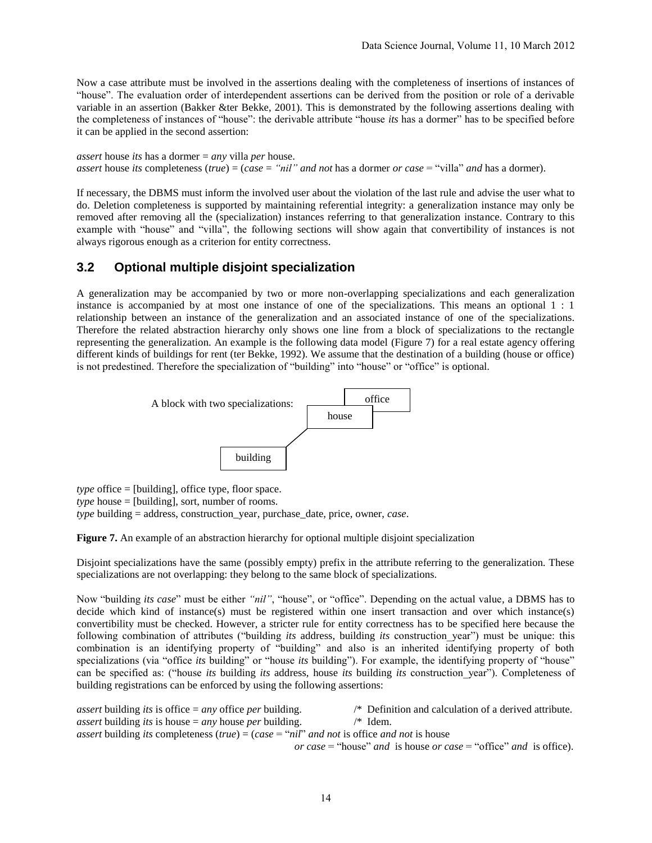Now a case attribute must be involved in the assertions dealing with the completeness of insertions of instances of "house". The evaluation order of interdependent assertions can be derived from the position or role of a derivable variable in an assertion (Bakker &ter Bekke, 2001). This is demonstrated by the following assertions dealing with the completeness of instances of "house": the derivable attribute "house *its* has a dormer" has to be specified before it can be applied in the second assertion:

*assert* house *its* has a dormer = *any* villa *per* house. *assert* house *its* completeness (*true*) = (*case* = *"nil" and not* has a dormer *or case* = "villa" *and* has a dormer).

If necessary, the DBMS must inform the involved user about the violation of the last rule and advise the user what to do. Deletion completeness is supported by maintaining referential integrity: a generalization instance may only be removed after removing all the (specialization) instances referring to that generalization instance. Contrary to this example with "house" and "villa", the following sections will show again that convertibility of instances is not always rigorous enough as a criterion for entity correctness.

# **3.2 Optional multiple disjoint specialization**

A generalization may be accompanied by two or more non-overlapping specializations and each generalization instance is accompanied by at most one instance of one of the specializations. This means an optional 1 : 1 relationship between an instance of the generalization and an associated instance of one of the specializations. Therefore the related abstraction hierarchy only shows one line from a block of specializations to the rectangle representing the generalization. An example is the following data model (Figure 7) for a real estate agency offering different kinds of buildings for rent (ter Bekke, 1992). We assume that the destination of a building (house or office) is not predestined. Therefore the specialization of "building" into "house" or "office" is optional.



*type* office = [building], office type, floor space.  $type$  house = [building], sort, number of rooms. *type* building = address, construction\_year, purchase\_date, price, owner, *case*.

Figure 7. An example of an abstraction hierarchy for optional multiple disjoint specialization

Disjoint specializations have the same (possibly empty) prefix in the attribute referring to the generalization. These specializations are not overlapping: they belong to the same block of specializations.

Now "building *its case*" must be either *"nil"*, "house", or "office". Depending on the actual value, a DBMS has to decide which kind of instance(s) must be registered within one insert transaction and over which instance(s) convertibility must be checked. However, a stricter rule for entity correctness has to be specified here because the following combination of attributes ("building *its* address, building *its* construction\_year") must be unique: this combination is an identifying property of "building" and also is an inherited identifying property of both specializations (via "office *its* building" or "house *its* building"). For example, the identifying property of "house" can be specified as: ("house *its* building *its* address, house *its* building *its* construction\_year"). Completeness of building registrations can be enforced by using the following assertions:

| <i>assert</i> building <i>its</i> is office $=$ <i>any</i> office <i>per</i> building.                                                           | $\frac{1}{2}$ Definition and calculation of a derived attribute.                                                                                                                                      |
|--------------------------------------------------------------------------------------------------------------------------------------------------|-------------------------------------------------------------------------------------------------------------------------------------------------------------------------------------------------------|
| <i>assert</i> building <i>its</i> is house $=$ <i>any</i> house <i>per</i> building.                                                             | $/*$ Idem.                                                                                                                                                                                            |
| <i>assert</i> building <i>its</i> completeness ( <i>true</i> ) = ( <i>case</i> = " <i>nil</i> " <i>and not</i> is office <i>and not</i> is house |                                                                                                                                                                                                       |
|                                                                                                                                                  | $\alpha u_{\alpha\alpha\alpha\beta} = \frac{u_{\alpha\alpha\alpha\beta} u_{\alpha\alpha\beta}}{2}$ and is house on each $= \frac{u_{\alpha\beta} u_{\alpha\alpha} u_{\alpha\beta}}{2}$ and is office. |

*or case* = "house" *and* is house *or case* = "office" *and* is office).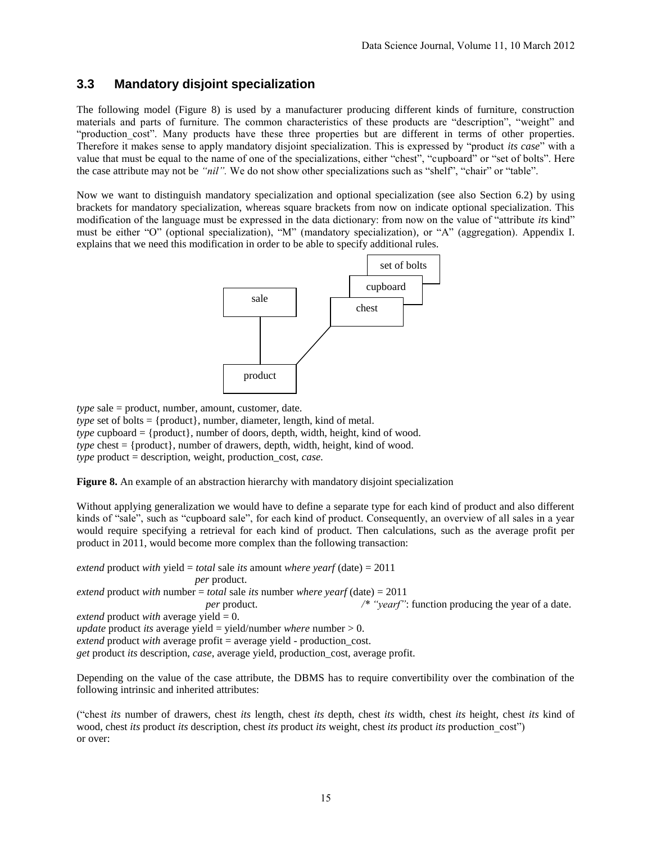# **3.3 Mandatory disjoint specialization**

The following model (Figure 8) is used by a manufacturer producing different kinds of furniture, construction materials and parts of furniture. The common characteristics of these products are "description", "weight" and "production cost". Many products have these three properties but are different in terms of other properties. Therefore it makes sense to apply mandatory disjoint specialization. This is expressed by "product *its case*" with a value that must be equal to the name of one of the specializations, either "chest", "cupboard" or "set of bolts". Here the case attribute may not be *"nil".* We do not show other specializations such as "shelf", "chair" or "table".

Now we want to distinguish mandatory specialization and optional specialization (see also Section 6.2) by using brackets for mandatory specialization, whereas square brackets from now on indicate optional specialization. This modification of the language must be expressed in the data dictionary: from now on the value of "attribute *its* kind" must be either "O" (optional specialization), "M" (mandatory specialization), or "A" (aggregation). Appendix I. explains that we need this modification in order to be able to specify additional rules.



*type* sale = product, number, amount, customer, date.

*type* set of bolts = {product}, number, diameter, length, kind of metal. *type* cupboard = {product}, number of doors, depth, width, height, kind of wood. *type* chest = {product}, number of drawers, depth, width, height, kind of wood. *type* product = description, weight, production\_cost, *case.*

**Figure 8.** An example of an abstraction hierarchy with mandatory disjoint specialization

Without applying generalization we would have to define a separate type for each kind of product and also different kinds of "sale", such as "cupboard sale", for each kind of product. Consequently, an overview of all sales in a year would require specifying a retrieval for each kind of product. Then calculations, such as the average profit per product in 2011, would become more complex than the following transaction:

*extend* product *with* yield = *total* sale *its* amount *where yearf* (date) = 2011  *per* product. *extend* product *with* number = *total* sale *its* number *where yearf* (date) = 2011  *per* product. */\* "yearf"*: function producing the year of a date. *extend* product *with* average yield = 0. *update* product *its* average yield = yield/number *where* number  $> 0$ . *extend* product *with* average profit = average yield - production\_cost. *get* product *its* description, *case*, average yield, production\_cost, average profit.

Depending on the value of the case attribute, the DBMS has to require convertibility over the combination of the following intrinsic and inherited attributes:

("chest *its* number of drawers, chest *its* length, chest *its* depth, chest *its* width, chest *its* height, chest *its* kind of wood, chest *its* product *its* description, chest *its* product *its* weight, chest *its* product *its* production\_cost") or over: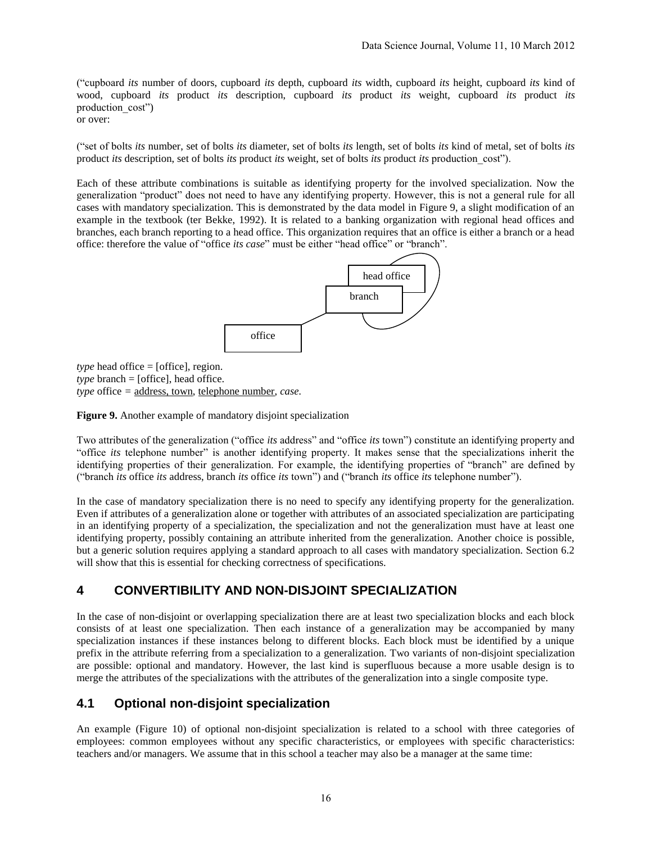("cupboard *its* number of doors, cupboard *its* depth, cupboard *its* width, cupboard *its* height, cupboard *its* kind of wood, cupboard *its* product *its* description, cupboard *its* product *its* weight, cupboard *its* product *its* production\_cost")

or over:

("set of bolts *its* number, set of bolts *its* diameter, set of bolts *its* length, set of bolts *its* kind of metal, set of bolts *its* product *its* description, set of bolts *its* product *its* weight, set of bolts *its* product *its* production\_cost").

Each of these attribute combinations is suitable as identifying property for the involved specialization. Now the generalization "product" does not need to have any identifying property. However, this is not a general rule for all cases with mandatory specialization. This is demonstrated by the data model in Figure 9, a slight modification of an example in the textbook (ter Bekke, 1992). It is related to a banking organization with regional head offices and branches, each branch reporting to a head office. This organization requires that an office is either a branch or a head office: therefore the value of "office *its case*" must be either "head office" or "branch".



*type* head office  $=$  [office], region.  $$ *type* office *=* address, town, telephone number, *case.*

**Figure 9.** Another example of mandatory disjoint specialization

Two attributes of the generalization ("office *its* address" and "office *its* town") constitute an identifying property and "office *its* telephone number" is another identifying property. It makes sense that the specializations inherit the identifying properties of their generalization. For example, the identifying properties of "branch" are defined by ("branch *its* office *its* address, branch *its* office *its* town") and ("branch *its* office *its* telephone number").

In the case of mandatory specialization there is no need to specify any identifying property for the generalization. Even if attributes of a generalization alone or together with attributes of an associated specialization are participating in an identifying property of a specialization, the specialization and not the generalization must have at least one identifying property, possibly containing an attribute inherited from the generalization. Another choice is possible, but a generic solution requires applying a standard approach to all cases with mandatory specialization. Section 6.2 will show that this is essential for checking correctness of specifications.

# **4 CONVERTIBILITY AND NON-DISJOINT SPECIALIZATION**

In the case of non-disjoint or overlapping specialization there are at least two specialization blocks and each block consists of at least one specialization. Then each instance of a generalization may be accompanied by many specialization instances if these instances belong to different blocks. Each block must be identified by a unique prefix in the attribute referring from a specialization to a generalization. Two variants of non-disjoint specialization are possible: optional and mandatory. However, the last kind is superfluous because a more usable design is to merge the attributes of the specializations with the attributes of the generalization into a single composite type.

# **4.1 Optional non-disjoint specialization**

An example (Figure 10) of optional non-disjoint specialization is related to a school with three categories of employees: common employees without any specific characteristics, or employees with specific characteristics: teachers and/or managers. We assume that in this school a teacher may also be a manager at the same time: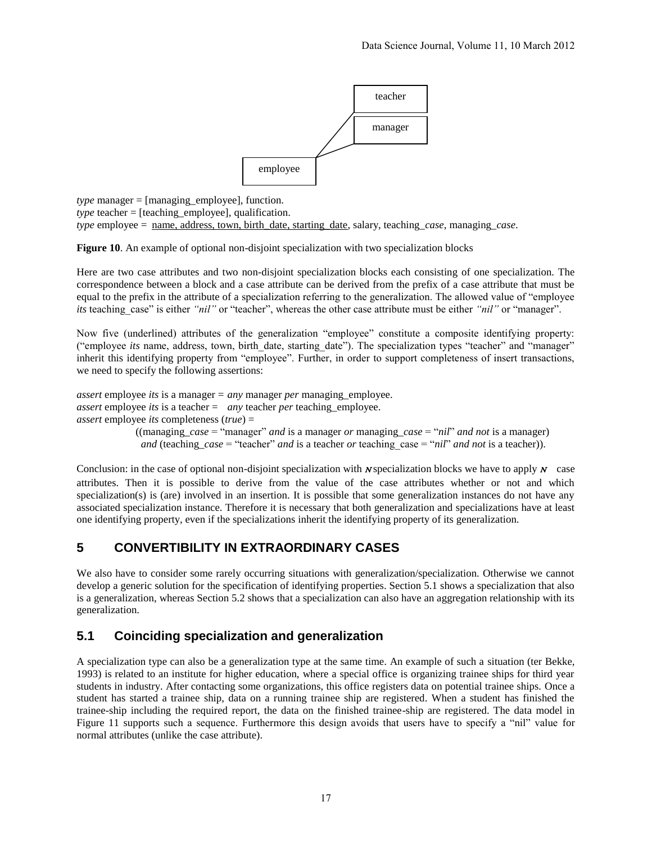

*type* manager = [managing\_employee], function. *type* teacher = [teaching\_employee], qualification. *type* employee = name, address, town, birth\_date, starting\_date, salary, teaching\_*case*, managing\_*case*.

**Figure 10**. An example of optional non-disjoint specialization with two specialization blocks

Here are two case attributes and two non-disjoint specialization blocks each consisting of one specialization. The correspondence between a block and a case attribute can be derived from the prefix of a case attribute that must be equal to the prefix in the attribute of a specialization referring to the generalization. The allowed value of "employee *its* teaching case" is either *"nil"* or "teacher", whereas the other case attribute must be either *"nil"* or "manager".

Now five (underlined) attributes of the generalization "employee" constitute a composite identifying property: ("employee *its* name, address, town, birth\_date, starting\_date"). The specialization types "teacher" and "manager" inherit this identifying property from "employee". Further, in order to support completeness of insert transactions, we need to specify the following assertions:

*assert* employee *its* is a manager = *any* manager *per* managing\_employee. *assert* employee *its* is a teacher = *any* teacher *per* teaching\_employee. *assert* employee *its* completeness (*true*) = ((managing\_*case* = "manager" *and* is a manager *or* managing\_*case* = "*nil*" *and not* is a manager) *and* (teaching  $case = "teacher"$  *and* is a teacher *or* teaching  $case = "ni"$  *and not* is a teacher).

Conclusion: in the case of optional non-disjoint specialization with  $N$  specialization blocks we have to apply  $N$  case attributes. Then it is possible to derive from the value of the case attributes whether or not and which specialization(s) is (are) involved in an insertion. It is possible that some generalization instances do not have any associated specialization instance. Therefore it is necessary that both generalization and specializations have at least one identifying property, even if the specializations inherit the identifying property of its generalization.

# **5 CONVERTIBILITY IN EXTRAORDINARY CASES**

We also have to consider some rarely occurring situations with generalization/specialization. Otherwise we cannot develop a generic solution for the specification of identifying properties. Section 5.1 shows a specialization that also is a generalization, whereas Section 5.2 shows that a specialization can also have an aggregation relationship with its generalization.

# **5.1 Coinciding specialization and generalization**

A specialization type can also be a generalization type at the same time. An example of such a situation (ter Bekke, 1993) is related to an institute for higher education, where a special office is organizing trainee ships for third year students in industry. After contacting some organizations, this office registers data on potential trainee ships. Once a student has started a trainee ship, data on a running trainee ship are registered. When a student has finished the trainee-ship including the required report, the data on the finished trainee-ship are registered. The data model in Figure 11 supports such a sequence. Furthermore this design avoids that users have to specify a "nil" value for normal attributes (unlike the case attribute).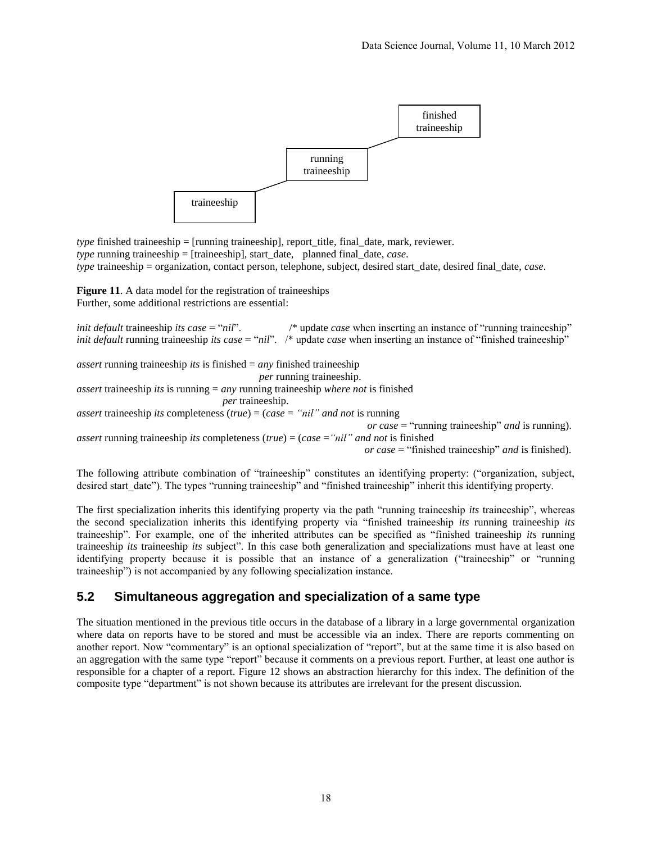

*type* finished traineeship = [running traineeship], report title, final date, mark, reviewer. *type* running traineeship = [traineeship], start\_date, planned final\_date, *case*. *type* traineeship = organization, contact person, telephone, subject, desired start\_date, desired final\_date, *case*.

Figure 11. A data model for the registration of traineeships Further, some additional restrictions are essential:

*init default* traineeship *its case* = "*nil*". /\* update *case* when inserting an instance of "running traineeship" *init default* running traineeship *its case* = "*nil*". /\* update *case* when inserting an instance of "finished traineeship"

*assert* running traineeship *its* is finished = *any* finished traineeship  *per* running traineeship. *assert* traineeship *its* is running = *any* running traineeship *where not* is finished *per* traineeship. *assert* traineeship *its* completeness (*true*) = (*case* = *"nil" and not* is running  *or case* = "running traineeship" *and* is running). *assert* running traineeship *its* completeness (*true*) = (*case* =*"nil" and not* is finished  *or case* = "finished traineeship" *and* is finished).

The following attribute combination of "traineeship" constitutes an identifying property: ("organization, subject, desired start date"). The types "running traineeship" and "finished traineeship" inherit this identifying property.

The first specialization inherits this identifying property via the path "running traineeship *its* traineeship", whereas the second specialization inherits this identifying property via "finished traineeship *its* running traineeship *its*  traineeship". For example, one of the inherited attributes can be specified as "finished traineeship *its* running traineeship *its* traineeship *its* subject". In this case both generalization and specializations must have at least one identifying property because it is possible that an instance of a generalization ("traineeship" or "running traineeship") is not accompanied by any following specialization instance.

# **5.2 Simultaneous aggregation and specialization of a same type**

The situation mentioned in the previous title occurs in the database of a library in a large governmental organization where data on reports have to be stored and must be accessible via an index. There are reports commenting on another report. Now "commentary" is an optional specialization of "report", but at the same time it is also based on an aggregation with the same type "report" because it comments on a previous report. Further, at least one author is responsible for a chapter of a report. Figure 12 shows an abstraction hierarchy for this index. The definition of the composite type "department" is not shown because its attributes are irrelevant for the present discussion.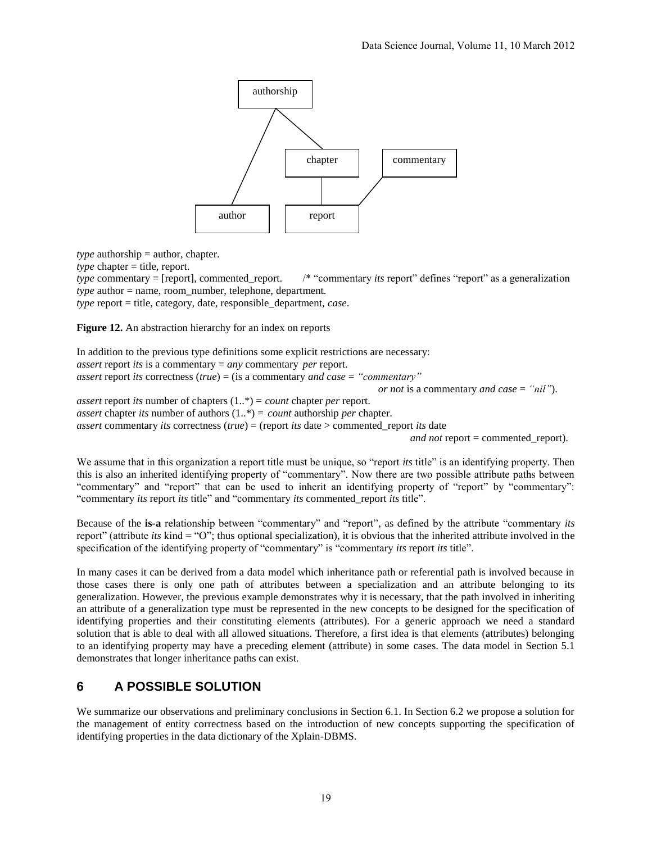

 $$ 

*type* chapter = title, report.

*type* commentary = [report], commented report. /\* "commentary *its* report" defines "report" as a generalization *type* author = name, room\_number, telephone, department.

*type* report = title, category, date, responsible\_department, *case*.

Figure 12. An abstraction hierarchy for an index on reports

In addition to the previous type definitions some explicit restrictions are necessary: *assert* report *its* is a commentary = *any* commentary *per* report. *assert* report *its* correctness (*true*) = (is a commentary *and case* = *"commentary" or not* is a commentary *and case* = *"nil"*). *assert* report *its* number of chapters (1..\*) = *count* chapter *per* report. *assert* chapter *its* number of authors (1..\*) = *count* authorship *per* chapter. *assert* commentary *its* correctness (*true*) = (report *its* date > commented\_report *its* date

*and not* report = commented\_report).

We assume that in this organization a report title must be unique, so "report *its* title" is an identifying property. Then this is also an inherited identifying property of "commentary". Now there are two possible attribute paths between "commentary" and "report" that can be used to inherit an identifying property of "report" by "commentary": "commentary *its* report *its* title" and "commentary *its* commented\_report *its* title".

Because of the **is-a** relationship between "commentary" and "report", as defined by the attribute "commentary *its* report" (attribute *its* kind = "O"; thus optional specialization), it is obvious that the inherited attribute involved in the specification of the identifying property of "commentary" is "commentary *its* report *its* title".

In many cases it can be derived from a data model which inheritance path or referential path is involved because in those cases there is only one path of attributes between a specialization and an attribute belonging to its generalization. However, the previous example demonstrates why it is necessary, that the path involved in inheriting an attribute of a generalization type must be represented in the new concepts to be designed for the specification of identifying properties and their constituting elements (attributes). For a generic approach we need a standard solution that is able to deal with all allowed situations. Therefore, a first idea is that elements (attributes) belonging to an identifying property may have a preceding element (attribute) in some cases. The data model in Section 5.1 demonstrates that longer inheritance paths can exist.

# **6 A POSSIBLE SOLUTION**

We summarize our observations and preliminary conclusions in Section 6.1. In Section 6.2 we propose a solution for the management of entity correctness based on the introduction of new concepts supporting the specification of identifying properties in the data dictionary of the Xplain-DBMS.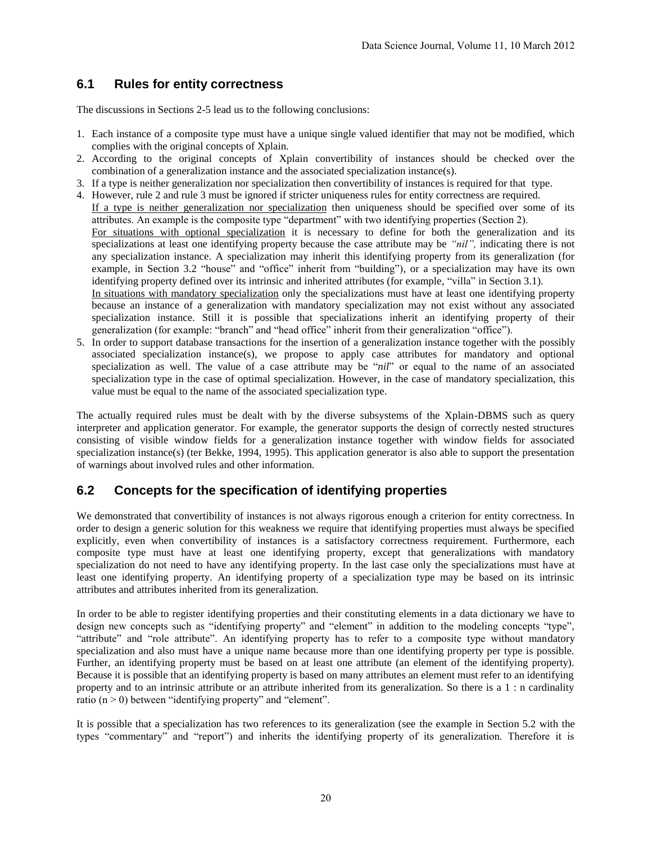# **6.1 Rules for entity correctness**

The discussions in Sections 2-5 lead us to the following conclusions:

- 1. Each instance of a composite type must have a unique single valued identifier that may not be modified, which complies with the original concepts of Xplain.
- 2. According to the original concepts of Xplain convertibility of instances should be checked over the combination of a generalization instance and the associated specialization instance(s).
- 3. If a type is neither generalization nor specialization then convertibility of instances is required for that type.
- 4. However, rule 2 and rule 3 must be ignored if stricter uniqueness rules for entity correctness are required. If a type is neither generalization nor specialization then uniqueness should be specified over some of its attributes. An example is the composite type "department" with two identifying properties (Section 2). For situations with optional specialization it is necessary to define for both the generalization and its specializations at least one identifying property because the case attribute may be *"nil",* indicating there is not any specialization instance. A specialization may inherit this identifying property from its generalization (for example, in Section 3.2 "house" and "office" inherit from "building"), or a specialization may have its own identifying property defined over its intrinsic and inherited attributes (for example, "villa" in Section 3.1). In situations with mandatory specialization only the specializations must have at least one identifying property
	- because an instance of a generalization with mandatory specialization may not exist without any associated specialization instance. Still it is possible that specializations inherit an identifying property of their generalization (for example: "branch" and "head office" inherit from their generalization "office").
- 5. In order to support database transactions for the insertion of a generalization instance together with the possibly associated specialization instance(s), we propose to apply case attributes for mandatory and optional specialization as well. The value of a case attribute may be "*nil*" or equal to the name of an associated specialization type in the case of optimal specialization. However, in the case of mandatory specialization, this value must be equal to the name of the associated specialization type.

The actually required rules must be dealt with by the diverse subsystems of the Xplain-DBMS such as query interpreter and application generator. For example, the generator supports the design of correctly nested structures consisting of visible window fields for a generalization instance together with window fields for associated specialization instance(s) (ter Bekke, 1994, 1995). This application generator is also able to support the presentation of warnings about involved rules and other information.

# **6.2 Concepts for the specification of identifying properties**

We demonstrated that convertibility of instances is not always rigorous enough a criterion for entity correctness. In order to design a generic solution for this weakness we require that identifying properties must always be specified explicitly, even when convertibility of instances is a satisfactory correctness requirement. Furthermore, each composite type must have at least one identifying property, except that generalizations with mandatory specialization do not need to have any identifying property. In the last case only the specializations must have at least one identifying property. An identifying property of a specialization type may be based on its intrinsic attributes and attributes inherited from its generalization.

In order to be able to register identifying properties and their constituting elements in a data dictionary we have to design new concepts such as "identifying property" and "element" in addition to the modeling concepts "type", "attribute" and "role attribute". An identifying property has to refer to a composite type without mandatory specialization and also must have a unique name because more than one identifying property per type is possible. Further, an identifying property must be based on at least one attribute (an element of the identifying property). Because it is possible that an identifying property is based on many attributes an element must refer to an identifying property and to an intrinsic attribute or an attribute inherited from its generalization. So there is a 1 : n cardinality ratio  $(n > 0)$  between "identifying property" and "element".

It is possible that a specialization has two references to its generalization (see the example in Section 5.2 with the types "commentary" and "report") and inherits the identifying property of its generalization. Therefore it is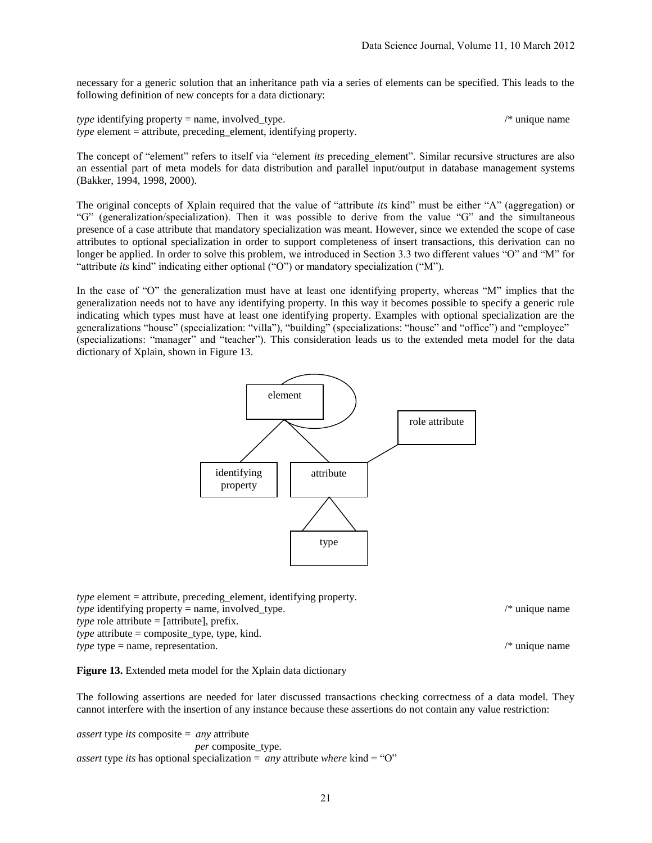necessary for a generic solution that an inheritance path via a series of elements can be specified. This leads to the following definition of new concepts for a data dictionary:

*type* identifying property = name, involved type.  $\frac{1}{2}$  /\* unique name *type* element = attribute, preceding element, identifying property.

The concept of "element" refers to itself via "element *its* preceding\_element". Similar recursive structures are also an essential part of meta models for data distribution and parallel input/output in database management systems (Bakker, 1994, 1998, 2000).

The original concepts of Xplain required that the value of "attribute *its* kind" must be either "A" (aggregation) or "G" (generalization/specialization). Then it was possible to derive from the value "G" and the simultaneous presence of a case attribute that mandatory specialization was meant. However, since we extended the scope of case attributes to optional specialization in order to support completeness of insert transactions, this derivation can no longer be applied. In order to solve this problem, we introduced in Section 3.3 two different values "O" and "M" for "attribute *its* kind" indicating either optional ("O") or mandatory specialization ("M").

In the case of "O" the generalization must have at least one identifying property, whereas "M" implies that the generalization needs not to have any identifying property. In this way it becomes possible to specify a generic rule indicating which types must have at least one identifying property. Examples with optional specialization are the generalizations "house" (specialization: "villa"), "building" (specializations: "house" and "office") and "employee" (specializations: "manager" and "teacher"). This consideration leads us to the extended meta model for the data dictionary of Xplain, shown in Figure 13.



*type* element = attribute, preceding\_element, identifying property. *type* identifying property = name, involved\_type.  $\frac{f}{f}$  /\* unique name *type* role attribute = [attribute], prefix. *type* attribute = composite type, type, kind. *type* type = name, representation.  $\frac{1}{2}$  /\* unique name

**Figure 13.** Extended meta model for the Xplain data dictionary

The following assertions are needed for later discussed transactions checking correctness of a data model. They cannot interfere with the insertion of any instance because these assertions do not contain any value restriction:

*assert* type *its* composite = *any* attribute  *per* composite\_type. *assert* type *its* has optional specialization = *any* attribute *where* kind = "O"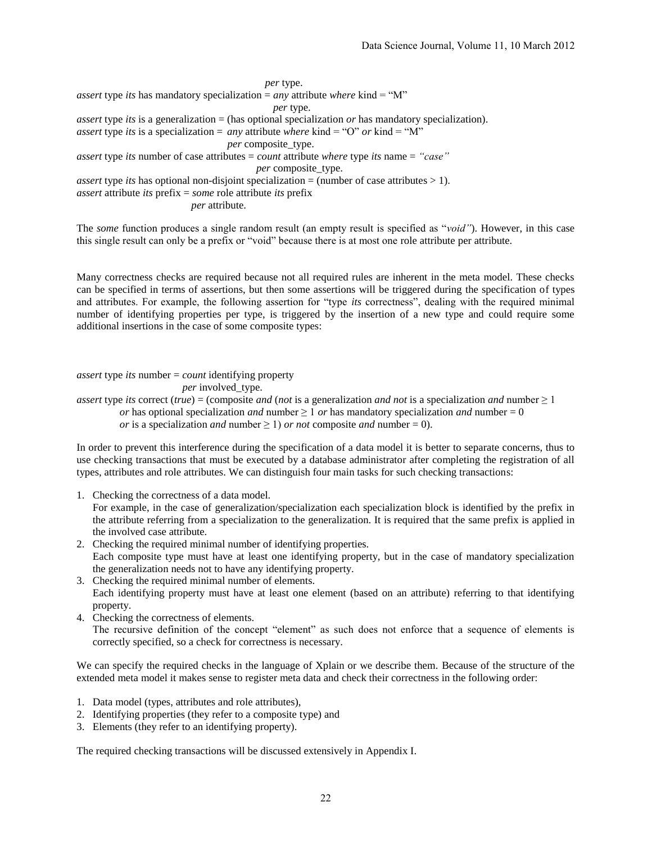*per* type. *assert* type *its* has mandatory specialization = *any* attribute *where* kind = " $M$ " *per* type. *assert* type *its* is a generalization = (has optional specialization *or* has mandatory specialization). *assert* type *its* is a specialization = *any* attribute *where* kind = "O" *or* kind = "M" *per* composite\_type. *assert* type *its* number of case attributes = *count* attribute *where* type *its* name = *"case" per* composite\_type. *assert* type *its* has optional non-disjoint specialization = (number of case attributes > 1). *assert* attribute *its* prefix = *some* role attribute *its* prefix *per* attribute.

The *some* function produces a single random result (an empty result is specified as "*void"*). However, in this case this single result can only be a prefix or "void" because there is at most one role attribute per attribute.

Many correctness checks are required because not all required rules are inherent in the meta model. These checks can be specified in terms of assertions, but then some assertions will be triggered during the specification of types and attributes. For example, the following assertion for "type *its* correctness", dealing with the required minimal number of identifying properties per type, is triggered by the insertion of a new type and could require some additional insertions in the case of some composite types:

*assert* type *its* number = *count* identifying property *per* involved type. *assert* type *its* correct (*true*) = (composite *and* (*not* is a generalization *and not* is a specialization *and* number  $\geq 1$ *or* has optional specialization *and* number  $\geq 1$  *or* has mandatory specialization *and* number  $= 0$ *or* is a specialization *and* number  $\geq 1$  *or not* composite *and* number = 0).

In order to prevent this interference during the specification of a data model it is better to separate concerns, thus to use checking transactions that must be executed by a database administrator after completing the registration of all types, attributes and role attributes. We can distinguish four main tasks for such checking transactions:

1. Checking the correctness of a data model.

For example, in the case of generalization/specialization each specialization block is identified by the prefix in the attribute referring from a specialization to the generalization. It is required that the same prefix is applied in the involved case attribute.

- 2. Checking the required minimal number of identifying properties. Each composite type must have at least one identifying property, but in the case of mandatory specialization the generalization needs not to have any identifying property.
- 3. Checking the required minimal number of elements. Each identifying property must have at least one element (based on an attribute) referring to that identifying property.
- 4. Checking the correctness of elements. The recursive definition of the concept "element" as such does not enforce that a sequence of elements is correctly specified, so a check for correctness is necessary.

We can specify the required checks in the language of Xplain or we describe them. Because of the structure of the extended meta model it makes sense to register meta data and check their correctness in the following order:

- 1. Data model (types, attributes and role attributes),
- 2. Identifying properties (they refer to a composite type) and
- 3. Elements (they refer to an identifying property).

The required checking transactions will be discussed extensively in Appendix I.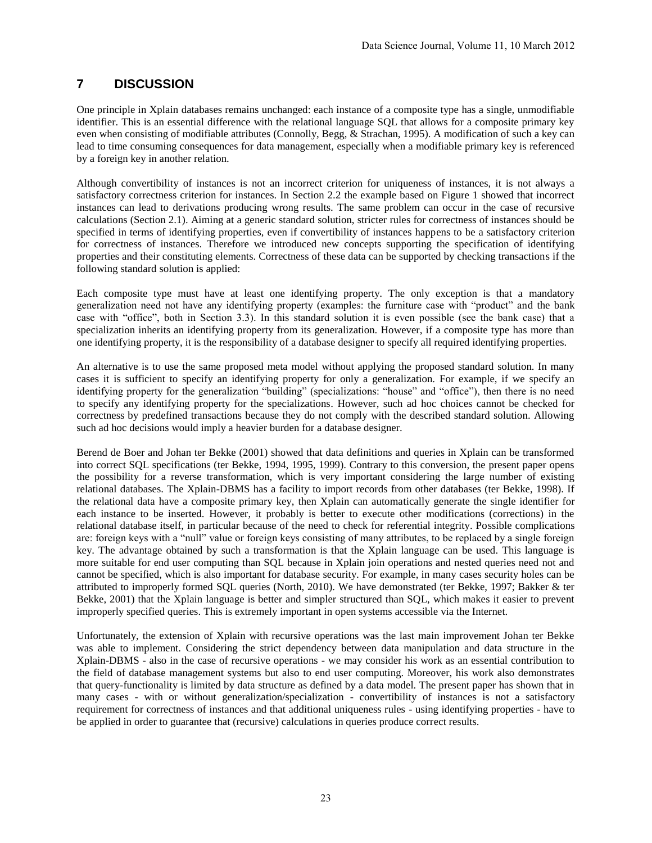# **7 DISCUSSION**

One principle in Xplain databases remains unchanged: each instance of a composite type has a single, unmodifiable identifier. This is an essential difference with the relational language SQL that allows for a composite primary key even when consisting of modifiable attributes (Connolly, Begg, & Strachan, 1995). A modification of such a key can lead to time consuming consequences for data management, especially when a modifiable primary key is referenced by a foreign key in another relation.

Although convertibility of instances is not an incorrect criterion for uniqueness of instances, it is not always a satisfactory correctness criterion for instances. In Section 2.2 the example based on Figure 1 showed that incorrect instances can lead to derivations producing wrong results. The same problem can occur in the case of recursive calculations (Section 2.1). Aiming at a generic standard solution, stricter rules for correctness of instances should be specified in terms of identifying properties, even if convertibility of instances happens to be a satisfactory criterion for correctness of instances. Therefore we introduced new concepts supporting the specification of identifying properties and their constituting elements. Correctness of these data can be supported by checking transactions if the following standard solution is applied:

Each composite type must have at least one identifying property. The only exception is that a mandatory generalization need not have any identifying property (examples: the furniture case with "product" and the bank case with "office", both in Section 3.3). In this standard solution it is even possible (see the bank case) that a specialization inherits an identifying property from its generalization. However, if a composite type has more than one identifying property, it is the responsibility of a database designer to specify all required identifying properties.

An alternative is to use the same proposed meta model without applying the proposed standard solution. In many cases it is sufficient to specify an identifying property for only a generalization. For example, if we specify an identifying property for the generalization "building" (specializations: "house" and "office"), then there is no need to specify any identifying property for the specializations. However, such ad hoc choices cannot be checked for correctness by predefined transactions because they do not comply with the described standard solution. Allowing such ad hoc decisions would imply a heavier burden for a database designer.

Berend de Boer and Johan ter Bekke (2001) showed that data definitions and queries in Xplain can be transformed into correct SQL specifications (ter Bekke, 1994, 1995, 1999). Contrary to this conversion, the present paper opens the possibility for a reverse transformation, which is very important considering the large number of existing relational databases. The Xplain-DBMS has a facility to import records from other databases (ter Bekke, 1998). If the relational data have a composite primary key, then Xplain can automatically generate the single identifier for each instance to be inserted. However, it probably is better to execute other modifications (corrections) in the relational database itself, in particular because of the need to check for referential integrity. Possible complications are: foreign keys with a "null" value or foreign keys consisting of many attributes, to be replaced by a single foreign key. The advantage obtained by such a transformation is that the Xplain language can be used. This language is more suitable for end user computing than SQL because in Xplain join operations and nested queries need not and cannot be specified, which is also important for database security. For example, in many cases security holes can be attributed to improperly formed SQL queries (North, 2010). We have demonstrated (ter Bekke, 1997; Bakker & ter Bekke, 2001) that the Xplain language is better and simpler structured than SQL, which makes it easier to prevent improperly specified queries. This is extremely important in open systems accessible via the Internet.

Unfortunately, the extension of Xplain with recursive operations was the last main improvement Johan ter Bekke was able to implement. Considering the strict dependency between data manipulation and data structure in the Xplain-DBMS - also in the case of recursive operations - we may consider his work as an essential contribution to the field of database management systems but also to end user computing. Moreover, his work also demonstrates that query-functionality is limited by data structure as defined by a data model. The present paper has shown that in many cases - with or without generalization/specialization - convertibility of instances is not a satisfactory requirement for correctness of instances and that additional uniqueness rules - using identifying properties - have to be applied in order to guarantee that (recursive) calculations in queries produce correct results.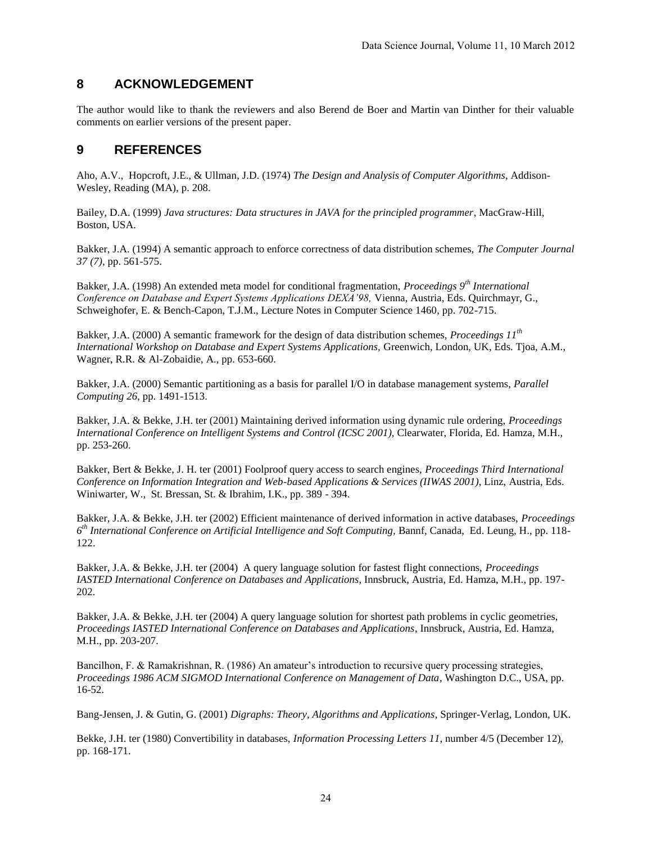# **8 ACKNOWLEDGEMENT**

The author would like to thank the reviewers and also Berend de Boer and Martin van Dinther for their valuable comments on earlier versions of the present paper.

### **9 REFERENCES**

Aho, A.V., Hopcroft, J.E., & Ullman, J.D. (1974) *The Design and Analysis of Computer Algorithms*, Addison-Wesley, Reading (MA), p. 208.

Bailey, D.A. (1999) *Java structures: Data structures in JAVA for the principled programmer*, MacGraw-Hill, Boston, USA.

Bakker, J.A. (1994) A semantic approach to enforce correctness of data distribution schemes, *The Computer Journal 37 (7),* pp. 561-575.

Bakker, J.A. (1998) An extended meta model for conditional fragmentation, *Proceedings 9th International Conference on Database and Expert Systems Applications DEXA'98,* Vienna, Austria, Eds. Quirchmayr, G., Schweighofer, E. & Bench-Capon, T.J.M., Lecture Notes in Computer Science 1460, pp. 702-715.

Bakker, J.A. (2000) A semantic framework for the design of data distribution schemes, *Proceedings 11th International Workshop on Database and Expert Systems Applications,* Greenwich, London, UK, Eds. Tjoa, A.M., Wagner, R.R. & Al-Zobaidie, A., pp. 653-660.

Bakker, J.A. (2000) Semantic partitioning as a basis for parallel I/O in database management systems, *Parallel Computing 26*, pp. 1491-1513.

Bakker, J.A. & Bekke, J.H. ter (2001) Maintaining derived information using dynamic rule ordering, *Proceedings International Conference on Intelligent Systems and Control (ICSC 2001),* Clearwater, Florida, Ed. Hamza, M.H., pp. 253-260.

Bakker, Bert & Bekke, J. H. ter (2001) Foolproof query access to search engines, *Proceedings Third International Conference on Information Integration and Web-based Applications & Services (IIWAS 2001)*, Linz, Austria, Eds. Winiwarter, W., St. Bressan, St. & Ibrahim, I.K., pp. 389 - 394.

Bakker, J.A. & Bekke, J.H. ter (2002) Efficient maintenance of derived information in active databases, *Proceedings 6 th International Conference on Artificial Intelligence and Soft Computing,* Bannf, Canada, Ed. Leung, H., pp. 118- 122.

Bakker, J.A. & Bekke, J.H. ter (2004) A query language solution for fastest flight connections, *Proceedings IASTED International Conference on Databases and Applications*, Innsbruck, Austria, Ed. Hamza, M.H., pp. 197- 202.

Bakker, J.A. & Bekke, J.H. ter (2004) A query language solution for shortest path problems in cyclic geometries, *Proceedings IASTED International Conference on Databases and Applications*, Innsbruck, Austria, Ed. Hamza, M.H., pp. 203-207.

Bancilhon, F. & Ramakrishnan, R. (1986) An amateur's introduction to recursive query processing strategies, *Proceedings 1986 ACM SIGMOD International Conference on Management of Data*, Washington D.C., USA, pp. 16-52.

Bang-Jensen, J. & Gutin, G. (2001) *Digraphs: Theory, Algorithms and Applications*, Springer-Verlag, London, UK.

Bekke, J.H. ter (1980) Convertibility in databases, *Information Processing Letters 11*, number 4/5 (December 12), pp. 168-171.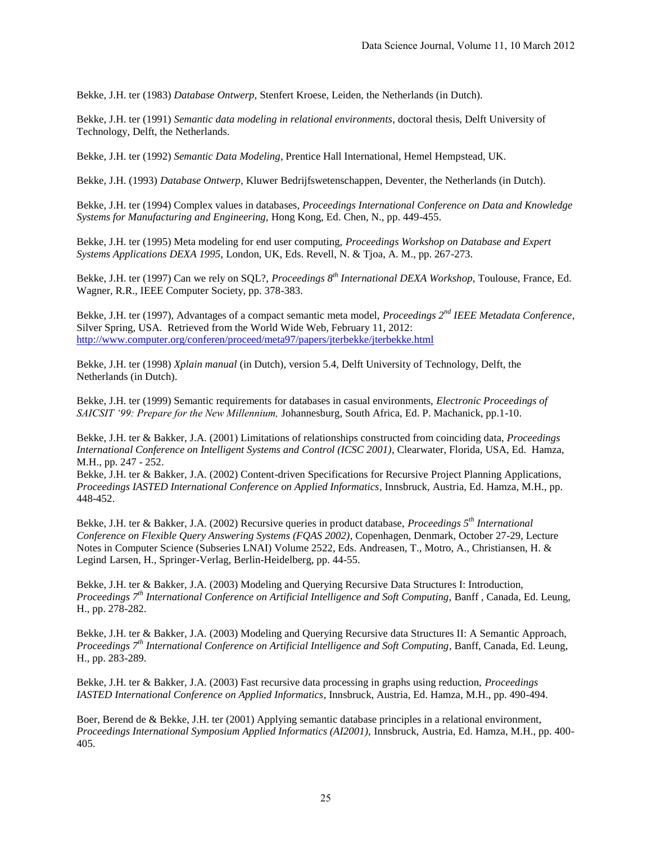Bekke, J.H. ter (1983) *Database Ontwerp,* Stenfert Kroese, Leiden, the Netherlands (in Dutch).

Bekke, J.H. ter (1991) *Semantic data modeling in relational environments*, doctoral thesis, Delft University of Technology, Delft, the Netherlands.

Bekke, J.H. ter (1992) *Semantic Data Modeling*, Prentice Hall International, Hemel Hempstead, UK.

Bekke, J.H. (1993) *Database Ontwerp,* Kluwer Bedrijfswetenschappen, Deventer, the Netherlands (in Dutch).

Bekke, J.H. ter (1994) Complex values in databases, *Proceedings International Conference on Data and Knowledge Systems for Manufacturing and Engineering,* Hong Kong, Ed. Chen, N., pp. 449-455.

Bekke, J.H. ter (1995) Meta modeling for end user computing, *Proceedings Workshop on Database and Expert Systems Applications DEXA 1995,* London, UK, Eds. Revell, N. & Tjoa, A. M., pp. 267-273.

Bekke, J.H. ter (1997) Can we rely on SQL?, *Proceedings 8th International DEXA Workshop,* Toulouse, France, Ed. Wagner, R.R., IEEE Computer Society, pp. 378-383.

Bekke, J.H. ter (1997), Advantages of a compact semantic meta model, *Proceedings 2nd IEEE Metadata Conference*, Silver Spring, USA. Retrieved from the World Wide Web, February 11, 2012: <http://www.computer.org/conferen/proceed/meta97/papers/jterbekke/jterbekke.html>

Bekke, J.H. ter (1998) *Xplain manual* (in Dutch), version 5.4, Delft University of Technology, Delft, the Netherlands (in Dutch).

Bekke, J.H. ter (1999) Semantic requirements for databases in casual environments, *Electronic Proceedings of SAICSIT '99: Prepare for the New Millennium,* Johannesburg, South Africa, Ed. P. Machanick, pp.1-10.

Bekke, J.H. ter & Bakker, J.A. (2001) Limitations of relationships constructed from coinciding data, *Proceedings International Conference on Intelligent Systems and Control (ICSC 2001)*, Clearwater, Florida, USA, Ed. Hamza, M.H., pp. 247 - 252.

Bekke, J.H. ter & Bakker, J.A. (2002) Content-driven Specifications for Recursive Project Planning Applications, *Proceedings IASTED International Conference on Applied Informatics*, Innsbruck, Austria, Ed. Hamza, M.H., pp. 448-452.

Bekke, J.H. ter & Bakker, J.A. (2002) Recursive queries in product database, *Proceedings 5th International Conference on Flexible Query Answering Systems (FQAS 2002)*, Copenhagen, Denmark, October 27-29, Lecture Notes in Computer Science (Subseries LNAI) Volume 2522, Eds. Andreasen, T., Motro, A., Christiansen, H. & Legind Larsen, H., Springer-Verlag, Berlin-Heidelberg, pp. 44-55.

Bekke, J.H. ter & Bakker, J.A. (2003) Modeling and Querying Recursive Data Structures I: Introduction, *Proceedings 7th International Conference on Artificial Intelligence and Soft Computing,* Banff , Canada, Ed. Leung, H., pp. 278-282.

Bekke, J.H. ter & Bakker, J.A. (2003) Modeling and Querying Recursive data Structures II: A Semantic Approach, *Proceedings 7th International Conference on Artificial Intelligence and Soft Computing*, Banff, Canada, Ed. Leung, H., pp. 283-289.

Bekke, J.H. ter & Bakker, J.A. (2003) Fast recursive data processing in graphs using reduction, *Proceedings IASTED International Conference on Applied Informatics*, Innsbruck, Austria, Ed. Hamza, M.H., pp. 490-494.

Boer, Berend de & Bekke, J.H. ter (2001) Applying semantic database principles in a relational environment, *Proceedings International Symposium Applied Informatics (AI2001),* Innsbruck, Austria, Ed. Hamza, M.H., pp. 400- 405.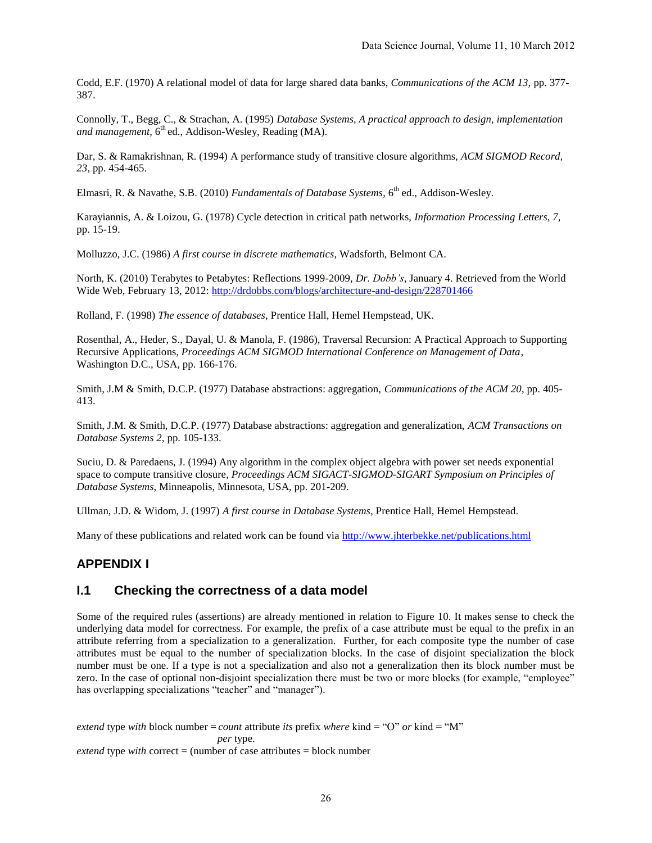Codd, E.F. (1970) A relational model of data for large shared data banks, *Communications of the ACM 13,* pp. 377- 387.

Connolly, T., Begg, C., & Strachan, A. (1995) *Database Systems, A practical approach to design, implementation*  and management, 6<sup>th</sup> ed., Addison-Wesley, Reading (MA).

Dar, S. & Ramakrishnan, R. (1994) A performance study of transitive closure algorithms, *ACM SIGMOD Record, 23*, pp. 454-465.

Elmasri, R. & Navathe, S.B. (2010) *Fundamentals of Database Systems*, 6<sup>th</sup> ed., Addison-Wesley.

Karayiannis, A. & Loizou, G. (1978) Cycle detection in critical path networks, *Information Processing Letters, 7,*  pp. 15-19.

Molluzzo, J.C. (1986) *A first course in discrete mathematics*, Wadsforth, Belmont CA.

North, K. (2010) Terabytes to Petabytes: Reflections 1999-2009, *Dr. Dobb's*, January 4. Retrieved from the World Wide Web, February 13, 2012:<http://drdobbs.com/blogs/architecture-and-design/228701466>

Rolland, F. (1998) *The essence of databases*, Prentice Hall, Hemel Hempstead, UK.

Rosenthal, A., Heder, S., Dayal, U. & Manola, F. (1986), Traversal Recursion: A Practical Approach to Supporting Recursive Applications, *Proceedings ACM SIGMOD International Conference on Management of Data*, Washington D.C., USA, pp. 166-176.

Smith, J.M & Smith, D.C.P. (1977) Database abstractions: aggregation, *Communications of the ACM 20*, pp. 405- 413.

Smith, J.M. & Smith, D.C.P. (1977) Database abstractions: aggregation and generalization, *ACM Transactions on Database Systems 2*, pp. 105-133.

Suciu, D. & Paredaens, J. (1994) Any algorithm in the complex object algebra with power set needs exponential space to compute transitive closure, *Proceedings ACM SIGACT-SIGMOD-SIGART Symposium on Principles of Database Systems*, Minneapolis, Minnesota, USA, pp. 201-209.

Ullman, J.D. & Widom, J. (1997) *A first course in Database Systems*, Prentice Hall, Hemel Hempstead.

Many of these publications and related work can be found via <http://www.jhterbekke.net/publications.html>

# **APPENDIX I**

# **I.1 Checking the correctness of a data model**

Some of the required rules (assertions) are already mentioned in relation to Figure 10. It makes sense to check the underlying data model for correctness. For example, the prefix of a case attribute must be equal to the prefix in an attribute referring from a specialization to a generalization. Further, for each composite type the number of case attributes must be equal to the number of specialization blocks. In the case of disjoint specialization the block number must be one. If a type is not a specialization and also not a generalization then its block number must be zero. In the case of optional non-disjoint specialization there must be two or more blocks (for example, "employee" has overlapping specializations "teacher" and "manager").

*extend* type *with* block number = *count* attribute *its* prefix *where* kind = "O" *or* kind = "M"  *per* type. *extend* type *with* correct = (number of case attributes = block number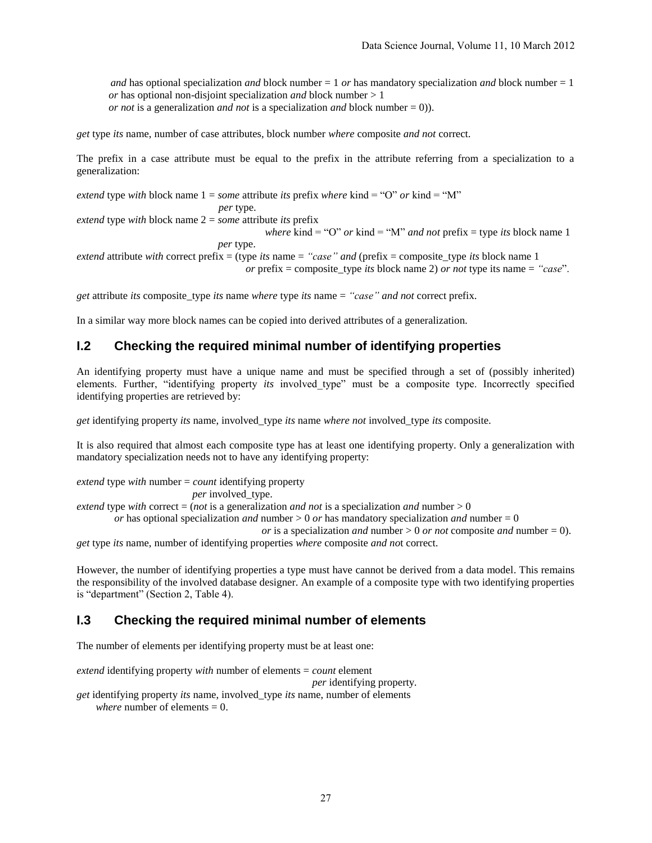*and* has optional specialization *and* block number = 1 *or* has mandatory specialization *and* block number = 1  *or* has optional non-disjoint specialization *and* block number > 1 *or not* is a generalization *and not* is a specialization *and* block number = 0)).

*get* type *its* name, number of case attributes, block number *where* composite *and not* correct.

The prefix in a case attribute must be equal to the prefix in the attribute referring from a specialization to a generalization:

*extend* type *with* block name  $1 =$  *some* attribute *its* prefix *where* kind = "O" *or* kind = "M"  *per* type.

*extend* type *with* block name 2 = *some* attribute *its* prefix

 *where* kind = "O" *or* kind = "M" *and not* prefix = type *its* block name 1

 *per* type.

*extend* attribute *with* correct prefix = (type *its* name = *"case" and* (prefix = composite\_type *its* block name 1

*or* prefix = composite\_type *its* block name 2) *or not* type its name = *"case*".

*get* attribute *its* composite\_type *its* name *where* type *its* name = *"case" and not* correct prefix.

In a similar way more block names can be copied into derived attributes of a generalization.

### **I.2 Checking the required minimal number of identifying properties**

An identifying property must have a unique name and must be specified through a set of (possibly inherited) elements. Further, "identifying property *its* involved\_type" must be a composite type. Incorrectly specified identifying properties are retrieved by:

*get* identifying property *its* name, involved\_type *its* name *where not* involved\_type *its* composite.

It is also required that almost each composite type has at least one identifying property. Only a generalization with mandatory specialization needs not to have any identifying property:

*extend* type *with* number = *count* identifying property *per* involved\_type. *extend* type *with* correct = (*not* is a generalization *and not* is a specialization *and* number > 0 *or* has optional specialization *and* number > 0 *or* has mandatory specialization *and* number = 0

*or* is a specialization *and* number > 0 *or not* composite *and* number = 0).

*get* type *its* name, number of identifying properties *where* composite *and no*t correct.

However, the number of identifying properties a type must have cannot be derived from a data model. This remains the responsibility of the involved database designer. An example of a composite type with two identifying properties is "department" (Section 2, Table 4).

#### **I.3 Checking the required minimal number of elements**

The number of elements per identifying property must be at least one:

*extend* identifying property *with* number of elements = *count* element  *per* identifying property. *get* identifying property *its* name, involved\_type *its* name, number of elements *where* number of elements  $= 0$ .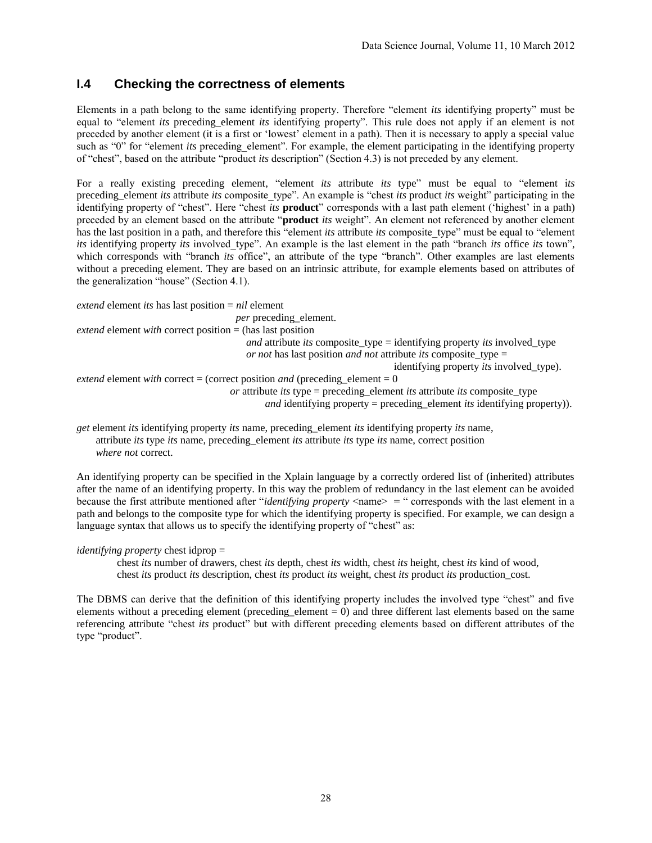# **I.4 Checking the correctness of elements**

Elements in a path belong to the same identifying property. Therefore "element *its* identifying property" must be equal to "element *its* preceding\_element *its* identifying property". This rule does not apply if an element is not preceded by another element (it is a first or 'lowest' element in a path). Then it is necessary to apply a special value such as "0" for "element *its* preceding\_element". For example, the element participating in the identifying property of "chest", based on the attribute "product *its* description" (Section 4.3) is not preceded by any element.

For a really existing preceding element, "element *its* attribute *its* type" must be equal to "element i*ts* preceding element *its* attribute *its* composite type". An example is "chest *its* product *its* weight" participating in the identifying property of "chest". Here "chest *its* **product**" corresponds with a last path element ('highest' in a path) preceded by an element based on the attribute "**product** *its* weight". An element not referenced by another element has the last position in a path, and therefore this "element *its* attribute *its* composite type" must be equal to "element *its* identifying property *its* involved type". An example is the last element in the path "branch *its* office *its* town", which corresponds with "branch *its* office", an attribute of the type "branch". Other examples are last elements without a preceding element. They are based on an intrinsic attribute, for example elements based on attributes of the generalization "house" (Section 4.1).

*extend* element *its* has last position = *nil* element *per* preceding element. *extend* element *with* correct position = (has last position *and* attribute *its* composite\_type = identifying property *its* involved\_type *or not* has last position *and not* attribute *its* composite type = identifying property *its* involved\_type). *extend* element *with* correct = (correct position *and* (preceding element = 0) *or* attribute *its* type = preceding\_element *its* attribute *its* composite\_type *and* identifying property = preceding element *its* identifying property)).

*get* element *its* identifying property *its* name, preceding\_element *its* identifying property *its* name, attribute *its* type *its* name, preceding\_element *its* attribute *its* type *its* name, correct position *where not* correct.

An identifying property can be specified in the Xplain language by a correctly ordered list of (inherited) attributes after the name of an identifying property. In this way the problem of redundancy in the last element can be avoided because the first attribute mentioned after "*identifying property* <name> = " corresponds with the last element in a path and belongs to the composite type for which the identifying property is specified. For example, we can design a language syntax that allows us to specify the identifying property of "chest" as:

#### *identifying property* chest idprop =

chest *its* number of drawers, chest *its* depth, chest *its* width, chest *its* height, chest *its* kind of wood, chest *its* product *its* description, chest *its* product *its* weight, chest *its* product *its* production\_cost.

The DBMS can derive that the definition of this identifying property includes the involved type "chest" and five elements without a preceding element (preceding element  $= 0$ ) and three different last elements based on the same referencing attribute "chest *its* product" but with different preceding elements based on different attributes of the type "product".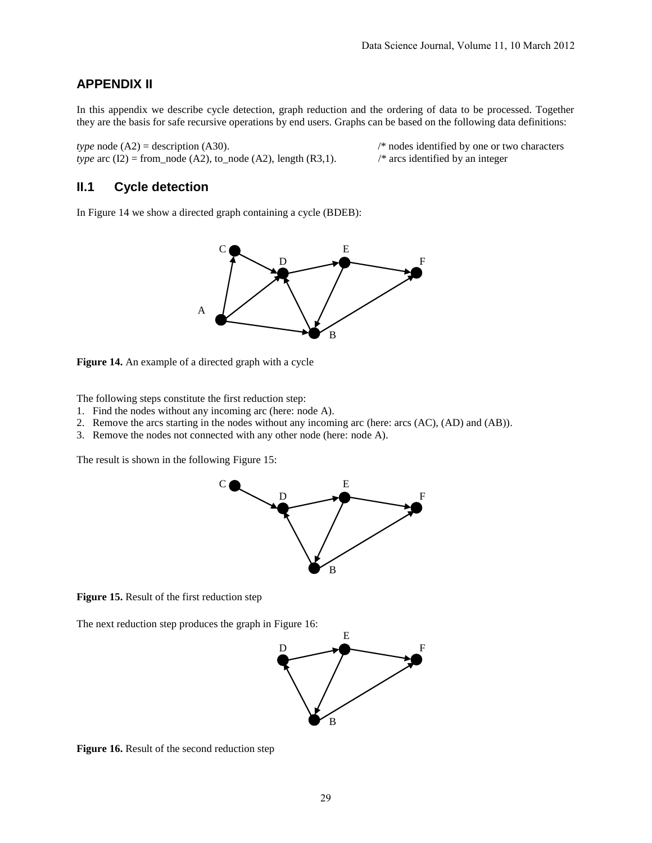## **APPENDIX II**

In this appendix we describe cycle detection, graph reduction and the ordering of data to be processed. Together they are the basis for safe recursive operations by end users. Graphs can be based on the following data definitions:

*type* node (A2) = description (A30). /\* nodes identified by one or two characters *type* arc (I2) = from\_node (A2), to\_node (A2), length (R3,1). /\* arcs identified by an integer *type* arc  $(I2)$  = from\_node  $(A2)$ , to\_node  $(A2)$ , length  $(R3,1)$ .

### **II.1 Cycle detection**

In Figure 14 we show a directed graph containing a cycle (BDEB):



**Figure 14.** An example of a directed graph with a cycle

The following steps constitute the first reduction step:

- 1. Find the nodes without any incoming arc (here: node A).
- 2. Remove the arcs starting in the nodes without any incoming arc (here: arcs (AC), (AD) and (AB)).
- 3. Remove the nodes not connected with any other node (here: node A).

The result is shown in the following Figure 15:



**Figure 15.** Result of the first reduction step

The next reduction step produces the graph in Figure 16:



**Figure 16.** Result of the second reduction step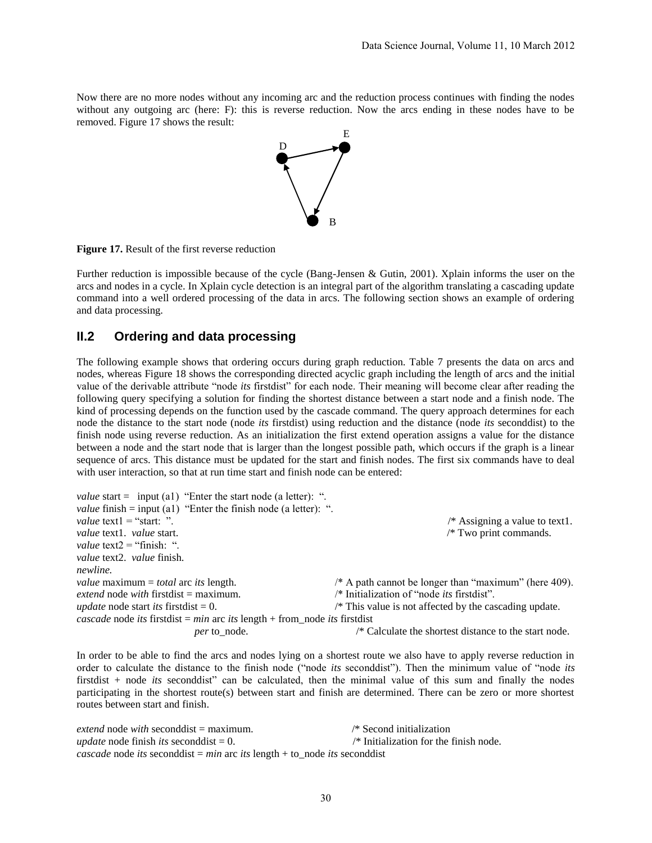Now there are no more nodes without any incoming arc and the reduction process continues with finding the nodes without any outgoing arc (here: F): this is reverse reduction. Now the arcs ending in these nodes have to be removed. Figure 17 shows the result:



**Figure 17.** Result of the first reverse reduction

Further reduction is impossible because of the cycle (Bang-Jensen & Gutin, 2001). Xplain informs the user on the arcs and nodes in a cycle. In Xplain cycle detection is an integral part of the algorithm translating a cascading update command into a well ordered processing of the data in arcs. The following section shows an example of ordering and data processing.

### **II.2 Ordering and data processing**

The following example shows that ordering occurs during graph reduction. Table 7 presents the data on arcs and nodes, whereas Figure 18 shows the corresponding directed acyclic graph including the length of arcs and the initial value of the derivable attribute "node *its* firstdist" for each node. Their meaning will become clear after reading the following query specifying a solution for finding the shortest distance between a start node and a finish node. The kind of processing depends on the function used by the cascade command. The query approach determines for each node the distance to the start node (node *its* firstdist) using reduction and the distance (node *its* seconddist) to the finish node using reverse reduction. As an initialization the first extend operation assigns a value for the distance between a node and the start node that is larger than the longest possible path, which occurs if the graph is a linear sequence of arcs. This distance must be updated for the start and finish nodes. The first six commands have to deal with user interaction, so that at run time start and finish node can be entered:

*value* start = input (a1) "Enter the start node (a letter): ". *value* finish = input (a1) "Enter the finish node (a letter): ". *value* text1 = "start: ". *value* text1 = "start: ".<br> *value* text1. *value* start.<br>
/\* Two print commands.<br>
/\* Two print commands. /\* Two print commands. *value* text2 = "finish: ". *value* text2. *value* finish. *newline. value* maximum = *total* arc *its* length. /\* A path cannot be longer than "maximum" (here 409). *extend* node *with* firstdist = maximum. /\* Initialization of "node *its* firstdist". *extend* node *with* firstdist = maximum. *update* node start *its* firstdist = 0. /\* This value is not affected by the cascading update. *cascade* node *its* firstdist = *min* arc *its* length + from\_node *its* firstdist *per* to node. /\* Calculate the shortest distance to the start node.

In order to be able to find the arcs and nodes lying on a shortest route we also have to apply reverse reduction in order to calculate the distance to the finish node ("node *its* seconddist"). Then the minimum value of "node *its* firstdist + node *its* seconddist" can be calculated, then the minimal value of this sum and finally the nodes participating in the shortest route(s) between start and finish are determined. There can be zero or more shortest routes between start and finish.

*extend* node *with* seconddist = maximum. /\* Second initialization *update* node finish *its* seconddist  $= 0$ .  $\frac{1}{2}$  Initialization for the finish node. *cascade* node *its* seconddist =  $min$  arc *its* length + to node *its* seconddist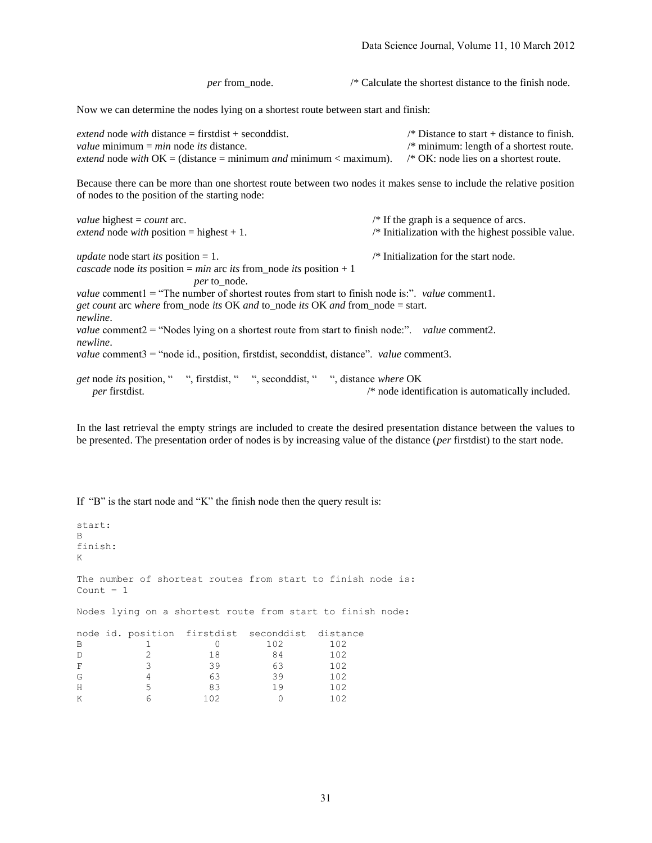*per* from\_node. /\* Calculate the shortest distance to the finish node. Now we can determine the nodes lying on a shortest route between start and finish: *extend* node *with* distance = firstdist + seconddist. /\* Distance to start + distance to finish. *value* minimum = *min* node *its* distance. /\* minimum: length of a shortest route. *extend* node *with* OK = (distance = minimum *and* minimum < maximum). /\* OK: node lies on a shortest route. Because there can be more than one shortest route between two nodes it makes sense to include the relative position of nodes to the position of the starting node: *value* highest = *count* arc.  $\frac{1}{2}$  /\* If the graph is a sequence of arcs. *extend* node *with* position = highest + 1.  $\frac{1}{2}$  /\* Initialization with the highest possible value. *update* node start *its* position = 1. /\* Initialization for the start node. *cascade* node *its* position = *min* arc *its* from\_node *its* position + 1 *per* to\_node. *value* comment1 = "The number of shortest routes from start to finish node is:". *value* comment1. *get count* arc *where* from\_node *its* OK *and* to\_node *its* OK *and* from\_node = start. *newline*. *value* comment2 = "Nodes lying on a shortest route from start to finish node:". *value* comment2. *newline*. *value* comment3 = "node id., position, firstdist, seconddist, distance". *value* comment3. *get* node *its* position, " ", firstdist, " ", seconddist, " ", distance *where* OK

*per* firstdist. *per* firstdist. *per* firstdist. *per* firstdisting the set of the set of the set of the set of the set of the set of the set of the set of the set of the set of the set of the set of the set of the

In the last retrieval the empty strings are included to create the desired presentation distance between the values to be presented. The presentation order of nodes is by increasing value of the distance (*per* firstdist) to the start node.

If "B" is the start node and "K" the finish node then the query result is:

```
start:
B
finish:
K
The number of shortest routes from start to finish node is:
Count = 1Nodes lying on a shortest route from start to finish node:
node id. position firstdist seconddist distance
B 1 0 102 102
D 2 18 84 102 
F 3 39 63 102
G 4 63 39 102
H 5 83 19 102
K 6 102 0 102
```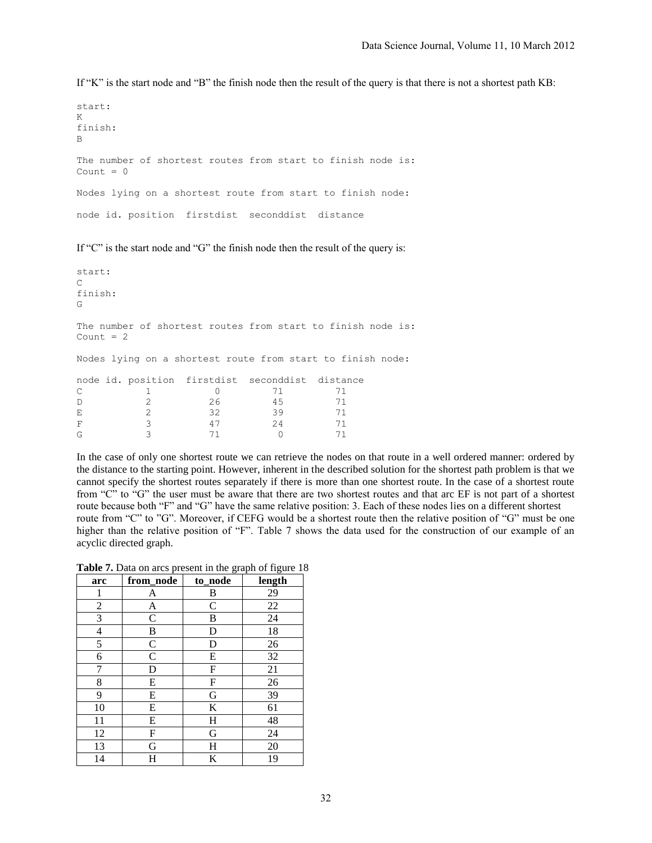If "K" is the start node and "B" the finish node then the result of the query is that there is not a shortest path KB:

```
start:
K
finish:
B
The number of shortest routes from start to finish node is:
Count = 0Nodes lying on a shortest route from start to finish node:
node id. position firstdist seconddist distance
```
If "C" is the start node and "G" the finish node then the result of the query is:

```
start:
\overline{C}finish:
G
The number of shortest routes from start to finish node is:
Count = 2Nodes lying on a shortest route from start to finish node:
node id. position firstdist seconddist distance
C 1 0 71 71
D 2 26 45 71
E 2 32 39 71
F 3 47 24 71
```
In the case of only one shortest route we can retrieve the nodes on that route in a well ordered manner: ordered by the distance to the starting point. However, inherent in the described solution for the shortest path problem is that we cannot specify the shortest routes separately if there is more than one shortest route. In the case of a shortest route from "C" to "G" the user must be aware that there are two shortest routes and that arc EF is not part of a shortest route because both "F" and "G" have the same relative position: 3. Each of these nodes lies on a different shortest route from "C" to "G". Moreover, if CEFG would be a shortest route then the relative position of "G" must be one higher than the relative position of "F". Table 7 shows the data used for the construction of our example of an acyclic directed graph.

**Table 7.** Data on arcs present in the graph of figure 18

G 3 71 0 71

| arc            | from_node     | $\circ$<br>to_node | O.<br>length |
|----------------|---------------|--------------------|--------------|
| 1              | A             | $\boldsymbol{B}$   | 29           |
| 2              | A             | $\mathsf{C}$       | 22           |
| 3              | $\mathcal{C}$ | B                  | 24           |
| $\overline{4}$ | B             | D                  | 18           |
| 5              | $\mathsf{C}$  | D                  | 26           |
| 6              | $\mathsf{C}$  | E                  | 32           |
| 7              | D             | F                  | 21           |
| 8              | E             | F                  | 26           |
| 9              | E             | G                  | 39           |
| 10             | E             | K                  | 61           |
| 11             | E             | H                  | 48           |
| 12             | F             | G                  | 24           |
| 13             | G             | Η                  | 20           |
| 14             | H             | K                  | 19           |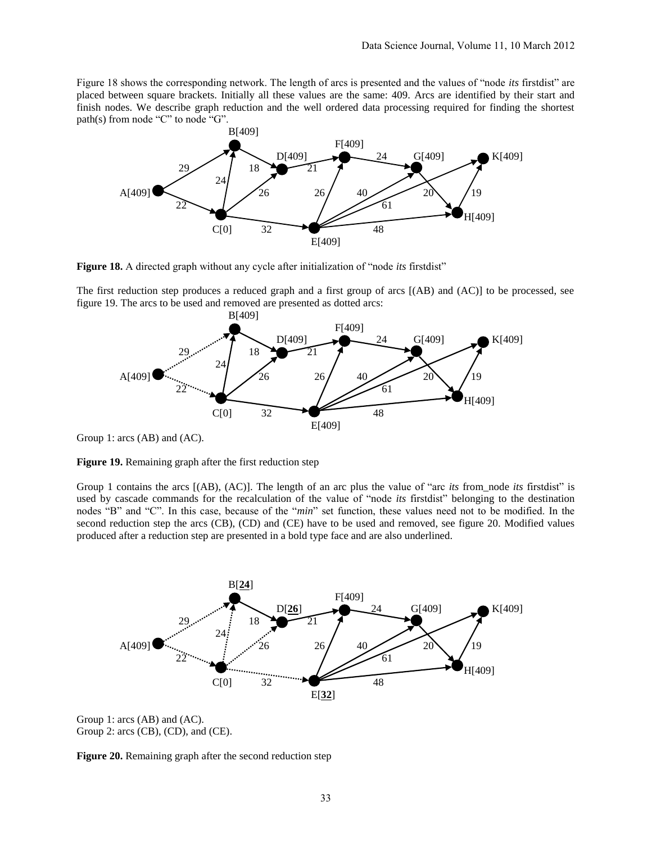Figure 18 shows the corresponding network. The length of arcs is presented and the values of "node *its* firstdist" are placed between square brackets. Initially all these values are the same: 409. Arcs are identified by their start and finish nodes. We describe graph reduction and the well ordered data processing required for finding the shortest path(s) from node "C" to node "G".



**Figure 18.** A directed graph without any cycle after initialization of "node *its* firstdist"

The first reduction step produces a reduced graph and a first group of arcs [(AB) and (AC)] to be processed, see figure 19. The arcs to be used and removed are presented as dotted arcs:



Group 1: arcs (AB) and (AC).

**Figure 19.** Remaining graph after the first reduction step

Group 1 contains the arcs [(AB), (AC)]. The length of an arc plus the value of "arc *its* from\_node *its* firstdist" is used by cascade commands for the recalculation of the value of "node *its* firstdist" belonging to the destination nodes "B" and "C". In this case, because of the "*min*" set function, these values need not to be modified. In the second reduction step the arcs (CB), (CD) and (CE) have to be used and removed, see figure 20. Modified values produced after a reduction step are presented in a bold type face and are also underlined.



Group 1: arcs (AB) and (AC). Group 2: arcs (CB), (CD), and (CE).

**Figure 20.** Remaining graph after the second reduction step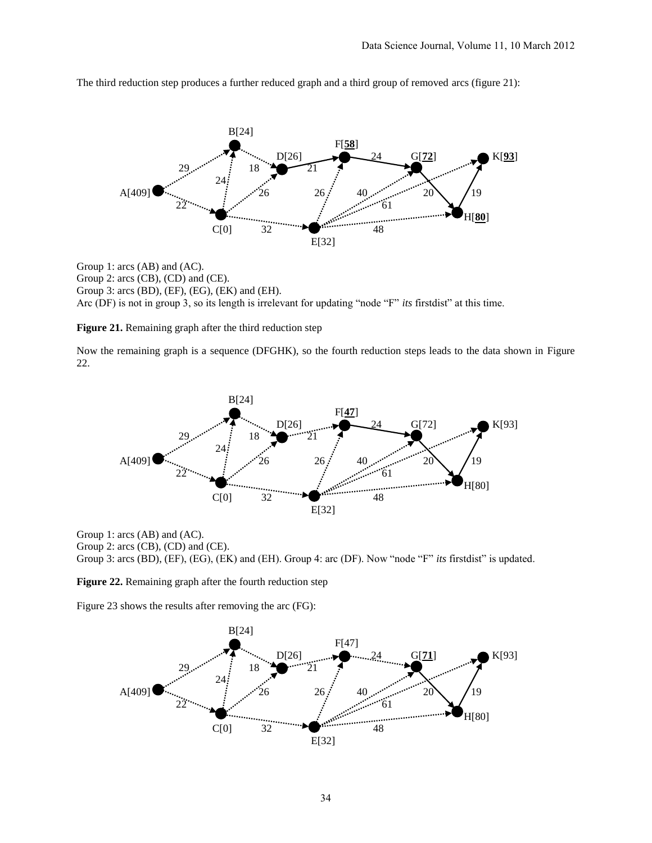

The third reduction step produces a further reduced graph and a third group of removed arcs (figure 21):

Group 1: arcs (AB) and (AC). Group 2: arcs (CB), (CD) and (CE). Group 3: arcs (BD), (EF), (EG), (EK) and (EH). Arc (DF) is not in group 3, so its length is irrelevant for updating "node "F" *its* firstdist" at this time.

**Figure 21.** Remaining graph after the third reduction step

Now the remaining graph is a sequence (DFGHK), so the fourth reduction steps leads to the data shown in Figure 22.



Group 1: arcs (AB) and (AC).

Group 2: arcs (CB), (CD) and (CE).

Group 3: arcs (BD), (EF), (EG), (EK) and (EH). Group 4: arc (DF). Now "node "F" *its* firstdist" is updated.

**Figure 22.** Remaining graph after the fourth reduction step

Figure 23 shows the results after removing the arc (FG):

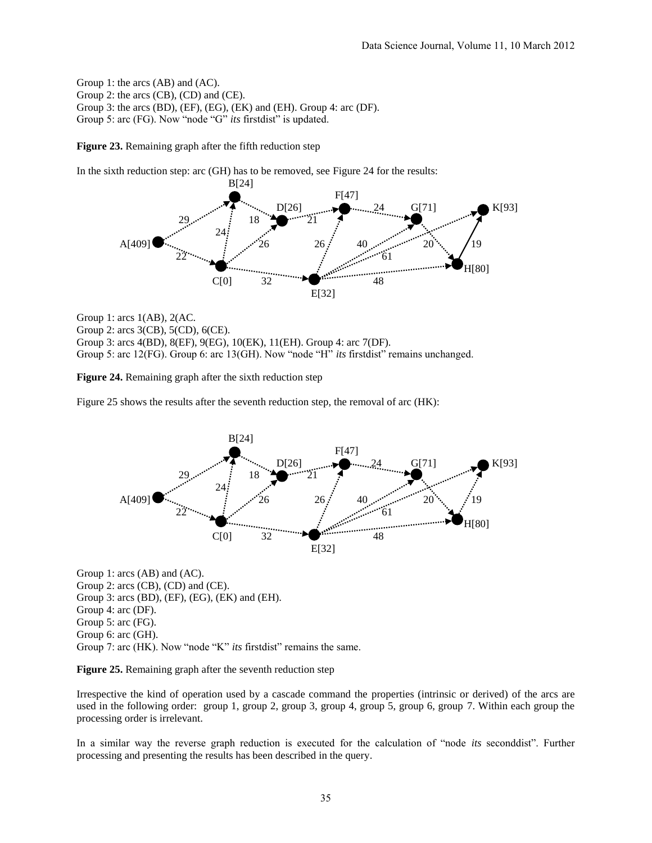Group 1: the arcs (AB) and (AC). Group 2: the arcs (CB), (CD) and (CE). Group 3: the arcs (BD), (EF), (EG), (EK) and (EH). Group 4: arc (DF). Group 5: arc (FG). Now "node "G" *its* firstdist" is updated.

**Figure 23.** Remaining graph after the fifth reduction step

In the sixth reduction step: arc (GH) has to be removed, see Figure 24 for the results:



Group 1: arcs 1(AB), 2(AC. Group 2: arcs 3(CB), 5(CD), 6(CE). Group 3: arcs 4(BD), 8(EF), 9(EG), 10(EK), 11(EH). Group 4: arc 7(DF). Group 5: arc 12(FG). Group 6: arc 13(GH). Now "node "H" *its* firstdist" remains unchanged.

**Figure 24.** Remaining graph after the sixth reduction step

Figure 25 shows the results after the seventh reduction step, the removal of arc (HK):



Group 1: arcs (AB) and (AC). Group 2: arcs (CB), (CD) and (CE). Group 3: arcs (BD), (EF), (EG), (EK) and (EH). Group 4: arc (DF). Group 5: arc (FG). Group 6: arc (GH). Group 7: arc (HK). Now "node "K" *its* firstdist" remains the same.

**Figure 25.** Remaining graph after the seventh reduction step

Irrespective the kind of operation used by a cascade command the properties (intrinsic or derived) of the arcs are used in the following order: group 1, group 2, group 3, group 4, group 5, group 6, group 7. Within each group the processing order is irrelevant.

In a similar way the reverse graph reduction is executed for the calculation of "node *its* seconddist". Further processing and presenting the results has been described in the query.